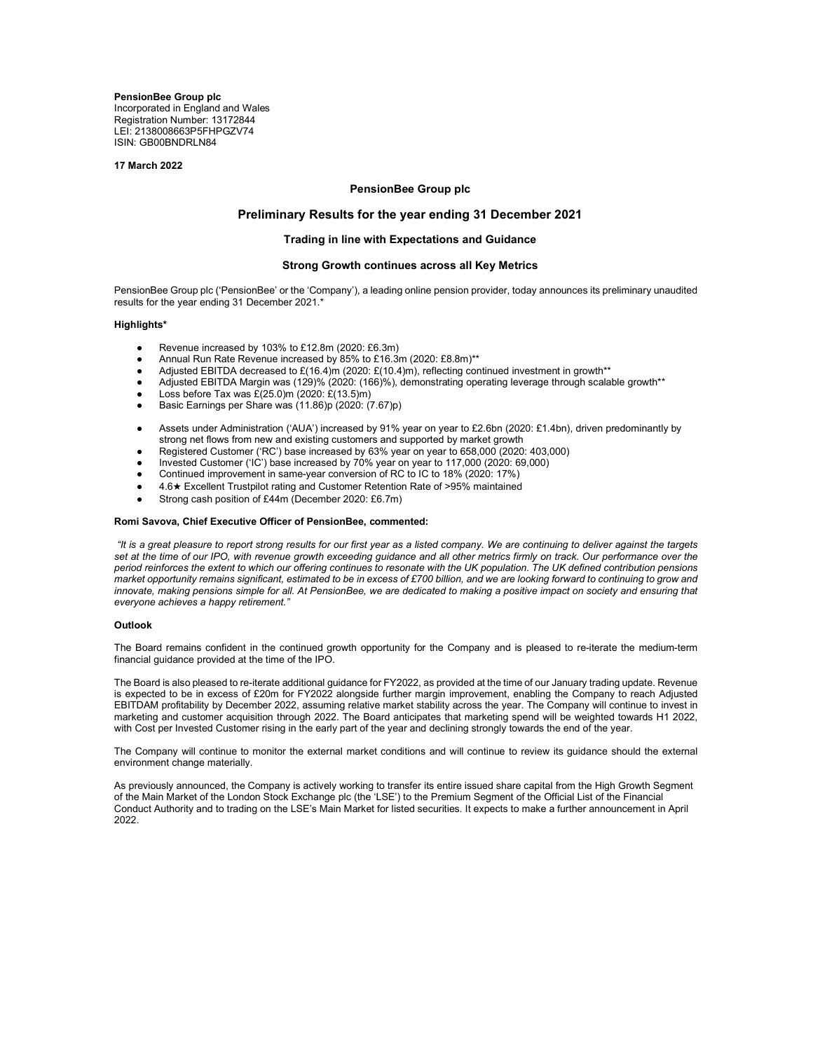PensionBee Group plc Incorporated in England and Wales Registration Number: 13172844 LEI: 2138008663P5FHPGZV74 ISIN: GB00BNDRLN84

17 March 2022

# PensionBee Group plc

# Preliminary Results for the year ending 31 December 2021

# Trading in line with Expectations and Guidance

#### Strong Growth continues across all Key Metrics

PensionBee Group plc ('PensionBee' or the 'Company'), a leading online pension provider, today announces its preliminary unaudited results for the year ending 31 December 2021.\*

#### Highlights\*

- Revenue increased by 103% to £12.8m (2020: £6.3m)
- Annual Run Rate Revenue increased by 85% to £16.3m (2020: £8.8m)\*\*
- Adjusted EBITDA decreased to £(16.4)m (2020: £(10.4)m), reflecting continued investment in growth\*\*
- Adjusted EBITDA Margin was (129)% (2020: (166)%), demonstrating operating leverage through scalable growth\*\*
- Loss before Tax was  $E(25.0)$ m (2020:  $E(13.5)$ m)
- Basic Earnings per Share was (11.86)p (2020: (7.67)p)
- Assets under Administration ('AUA') increased by 91% year on year to £2.6bn (2020: £1.4bn), driven predominantly by strong net flows from new and existing customers and supported by market growth
- Registered Customer ('RC') base increased by 63% year on year to 658,000 (2020: 403,000)
- Invested Customer ('IC') base increased by  $70\%$  year on year to  $117,000$  (2020: 69,000)
- Continued improvement in same-year conversion of RC to IC to 18% (2020: 17%)
- 4.6★ Excellent Trustpilot rating and Customer Retention Rate of >95% maintained
- Strong cash position of £44m (December 2020: £6.7m)

### Romi Savova, Chief Executive Officer of PensionBee, commented:

 "It is a great pleasure to report strong results for our first year as a listed company. We are continuing to deliver against the targets set at the time of our IPO, with revenue growth exceeding guidance and all other metrics firmly on track. Our performance over the period reinforces the extent to which our offering continues to resonate with the UK population. The UK defined contribution pensions market opportunity remains significant, estimated to be in excess of £700 billion, and we are looking forward to continuing to grow and innovate, making pensions simple for all. At PensionBee, we are dedicated to making a positive impact on society and ensuring that everyone achieves a happy retirement."

### Outlook

The Board remains confident in the continued growth opportunity for the Company and is pleased to re-iterate the medium-term financial guidance provided at the time of the IPO.

The Board is also pleased to re-iterate additional guidance for FY2022, as provided at the time of our January trading update. Revenue is expected to be in excess of £20m for FY2022 alongside further margin improvement, enabling the Company to reach Adjusted EBITDAM profitability by December 2022, assuming relative market stability across the year. The Company will continue to invest in marketing and customer acquisition through 2022. The Board anticipates that marketing spend will be weighted towards H1 2022, with Cost per Invested Customer rising in the early part of the year and declining strongly towards the end of the year.

The Company will continue to monitor the external market conditions and will continue to review its guidance should the external environment change materially.

As previously announced, the Company is actively working to transfer its entire issued share capital from the High Growth Segment of the Main Market of the London Stock Exchange plc (the 'LSE') to the Premium Segment of the Official List of the Financial Conduct Authority and to trading on the LSE's Main Market for listed securities. It expects to make a further announcement in April 2022.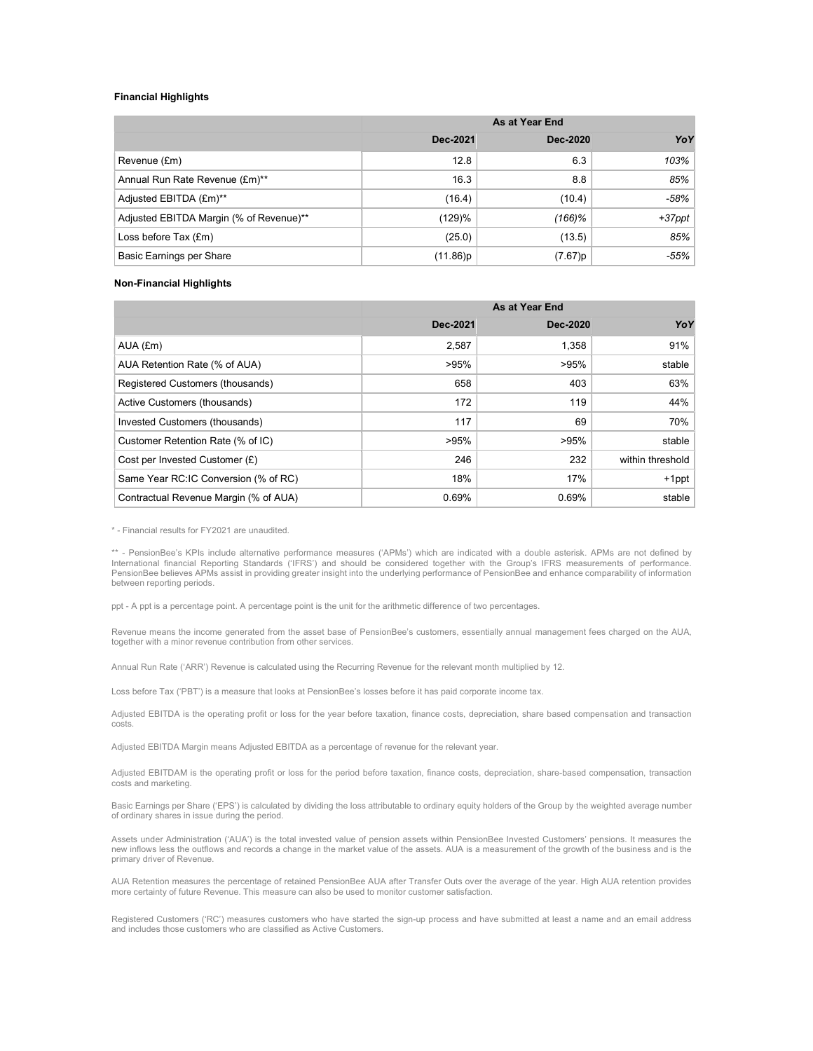#### Financial Highlights

|                                         | As at Year End |          |           |  |
|-----------------------------------------|----------------|----------|-----------|--|
|                                         | Dec-2021       | Dec-2020 | YoY       |  |
| Revenue (£m)                            | 12.8           | 6.3      | 103%      |  |
| Annual Run Rate Revenue (£m)**          | 16.3           | 8.8      | 85%       |  |
| Adjusted EBITDA (£m)**                  | (16.4)         | (10.4)   | $-58%$    |  |
| Adjusted EBITDA Margin (% of Revenue)** | (129)%         | (166)%   | $+37$ ppt |  |
| Loss before Tax (£m)                    | (25.0)         | (13.5)   | 85%       |  |
| Basic Earnings per Share                | (11.86)p       | (7.67)p  | $-55%$    |  |

## Non-Financial Highlights

|                                       | As at Year End |          |                  |  |  |
|---------------------------------------|----------------|----------|------------------|--|--|
|                                       | Dec-2021       | Dec-2020 | YoY              |  |  |
| $AUA$ (£m)                            | 2,587          | 1,358    | 91%              |  |  |
| AUA Retention Rate (% of AUA)         | >95%           | >95%     | stable           |  |  |
| Registered Customers (thousands)      | 658            | 403      | 63%              |  |  |
| Active Customers (thousands)          | 172            | 119      | 44%              |  |  |
| Invested Customers (thousands)        | 117            | 69       | 70%              |  |  |
| Customer Retention Rate (% of IC)     | >95%           | >95%     | stable           |  |  |
| Cost per Invested Customer (£)        | 246            | 232      | within threshold |  |  |
| Same Year RC:IC Conversion (% of RC)  | 18%            | 17%      | $+1$ ppt         |  |  |
| Contractual Revenue Margin (% of AUA) | 0.69%          | 0.69%    | stable           |  |  |

\* - Financial results for FY2021 are unaudited.

\*\* - PensionBee's KPIs include alternative performance measures ('APMs') which are indicated with a double asterisk. APMs are not defined by International financial Reporting Standards ('IFRS') and should be considered together with the Group's IFRS measurements of performance. PensionBee believes APMs assist in providing greater insight into the underlying performance of PensionBee and enhance comparability of information between reporting periods.

ppt - A ppt is a percentage point. A percentage point is the unit for the arithmetic difference of two percentages.

Revenue means the income generated from the asset base of PensionBee's customers, essentially annual management fees charged on the AUA,<br>together with a minor revenue contribution from other services.

Annual Run Rate ('ARR') Revenue is calculated using the Recurring Revenue for the relevant month multiplied by 12.

Loss before Tax ('PBT') is a measure that looks at PensionBee's losses before it has paid corporate income tax.

Adjusted EBITDA is the operating profit or loss for the year before taxation, finance costs, depreciation, share based compensation and transaction costs.

Adjusted EBITDA Margin means Adjusted EBITDA as a percentage of revenue for the relevant year.

Adjusted EBITDAM is the operating profit or loss for the period before taxation, finance costs, depreciation, share-based compensation, transaction costs and marketing.

Basic Earnings per Share ('EPS') is calculated by dividing the loss attributable to ordinary equity holders of the Group by the weighted average number of ordinary shares in issue during the period.

Assets under Administration ('AUA') is the total invested value of pension assets within PensionBee Invested Customers' pensions. It measures the new inflows less the outflows and records a change in the market value of the assets. AUA is a measurement of the growth of the business and is the primary driver of Revenue.

AUA Retention measures the percentage of retained PensionBee AUA after Transfer Outs over the average of the year. High AUA retention provides more certainty of future Revenue. This measure can also be used to monitor customer satisfaction.

Registered Customers ('RC') measures customers who have started the sign-up process and have submitted at least a name and an email address and includes those customers who are classified as Active Customers.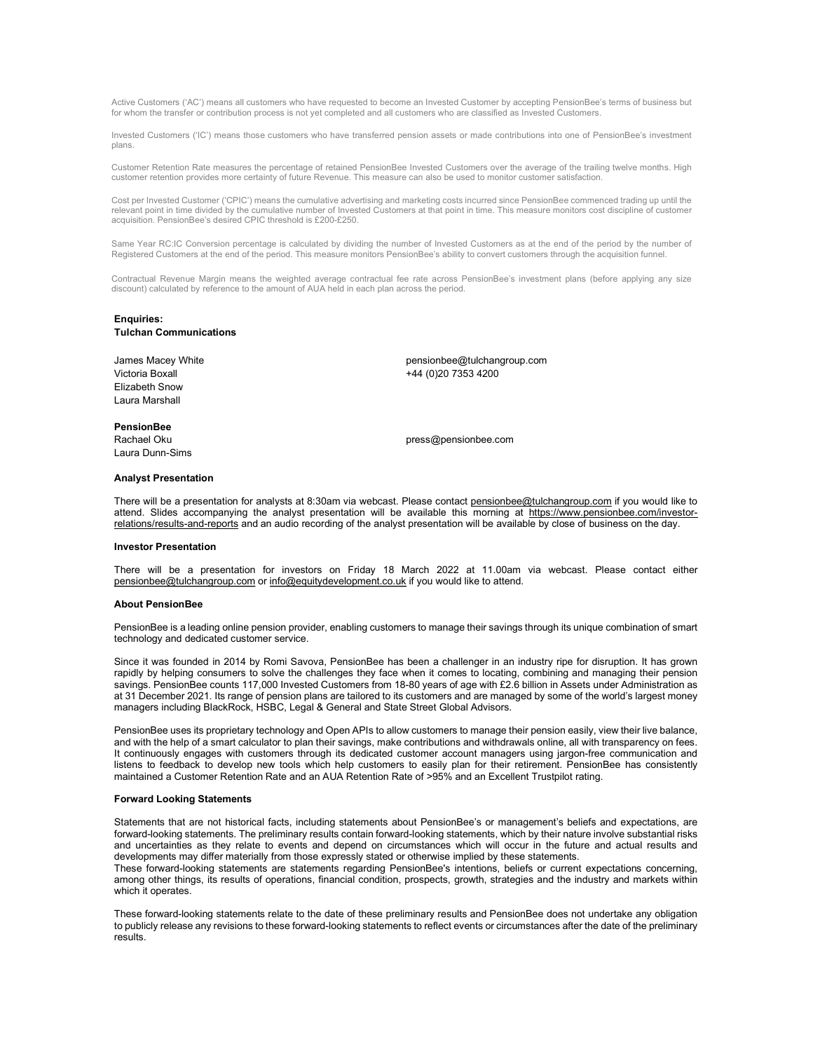Active Customers ('AC') means all customers who have requested to become an Invested Customer by accepting PensionBee's terms of business but for whom the transfer or contribution process is not yet completed and all customers who are classified as Invested Customers.

Invested Customers ('IC') means those customers who have transferred pension assets or made contributions into one of PensionBee's investment plans.

Customer Retention Rate measures the percentage of retained PensionBee Invested Customers over the average of the trailing twelve months. High customer retention provides more certainty of future Revenue. This measure can also be used to monitor customer satisfaction.

Cost per Invested Customer ('CPIC') means the cumulative advertising and marketing costs incurred since PensionBee commenced trading up until the relevant point in time divided by the cumulative number of Invested Customers at that point in time. This measure monitors cost discipline of customer acquisition. PensionBee's desired CPIC threshold is £200-£250.

Same Year RC:IC Conversion percentage is calculated by dividing the number of Invested Customers as at the end of the period by the number of Registered Customers at the end of the period. This measure monitors PensionBee's ability to convert customers through the acquisition funnel.

Contractual Revenue Margin means the weighted average contractual fee rate across PensionBee's investment plans (before applying any size discount) calculated by reference to the amount of AUA held in each plan across the period.

# Enquiries: Tulchan Communications

James Macey White Victoria Boxall Elizabeth Snow Laura Marshall

# **PensionBee**

Rachael Oku Laura Dunn-Sims +44 (0)20 7353 4200

pensionbee@tulchangroup.com

press@pensionbee.com

## Analyst Presentation

There will be a presentation for analysts at 8:30am via webcast. Please contact pensionbee@tulchangroup.com if you would like to attend. Slides accompanying the analyst presentation will be available this morning at https://www.pensionbee.com/investorrelations/results-and-reports and an audio recording of the analyst presentation will be available by close of business on the day.

## Investor Presentation

There will be a presentation for investors on Friday 18 March 2022 at 11.00am via webcast. Please contact either pensionbee@tulchangroup.com or info@equitydevelopment.co.uk if you would like to attend.

#### About PensionBee

PensionBee is a leading online pension provider, enabling customers to manage their savings through its unique combination of smart technology and dedicated customer service.

Since it was founded in 2014 by Romi Savova, PensionBee has been a challenger in an industry ripe for disruption. It has grown rapidly by helping consumers to solve the challenges they face when it comes to locating, combining and managing their pension savings. PensionBee counts 117,000 Invested Customers from 18-80 years of age with £2.6 billion in Assets under Administration as at 31 December 2021. Its range of pension plans are tailored to its customers and are managed by some of the world's largest money managers including BlackRock, HSBC, Legal & General and State Street Global Advisors.

PensionBee uses its proprietary technology and Open APIs to allow customers to manage their pension easily, view their live balance, and with the help of a smart calculator to plan their savings, make contributions and withdrawals online, all with transparency on fees. It continuously engages with customers through its dedicated customer account managers using jargon-free communication and listens to feedback to develop new tools which help customers to easily plan for their retirement. PensionBee has consistently maintained a Customer Retention Rate and an AUA Retention Rate of >95% and an Excellent Trustpilot rating.

#### Forward Looking Statements

Statements that are not historical facts, including statements about PensionBee's or management's beliefs and expectations, are forward-looking statements. The preliminary results contain forward-looking statements, which by their nature involve substantial risks and uncertainties as they relate to events and depend on circumstances which will occur in the future and actual results and developments may differ materially from those expressly stated or otherwise implied by these statements.

These forward-looking statements are statements regarding PensionBee's intentions, beliefs or current expectations concerning, among other things, its results of operations, financial condition, prospects, growth, strategies and the industry and markets within which it operates.

These forward-looking statements relate to the date of these preliminary results and PensionBee does not undertake any obligation to publicly release any revisions to these forward-looking statements to reflect events or circumstances after the date of the preliminary results.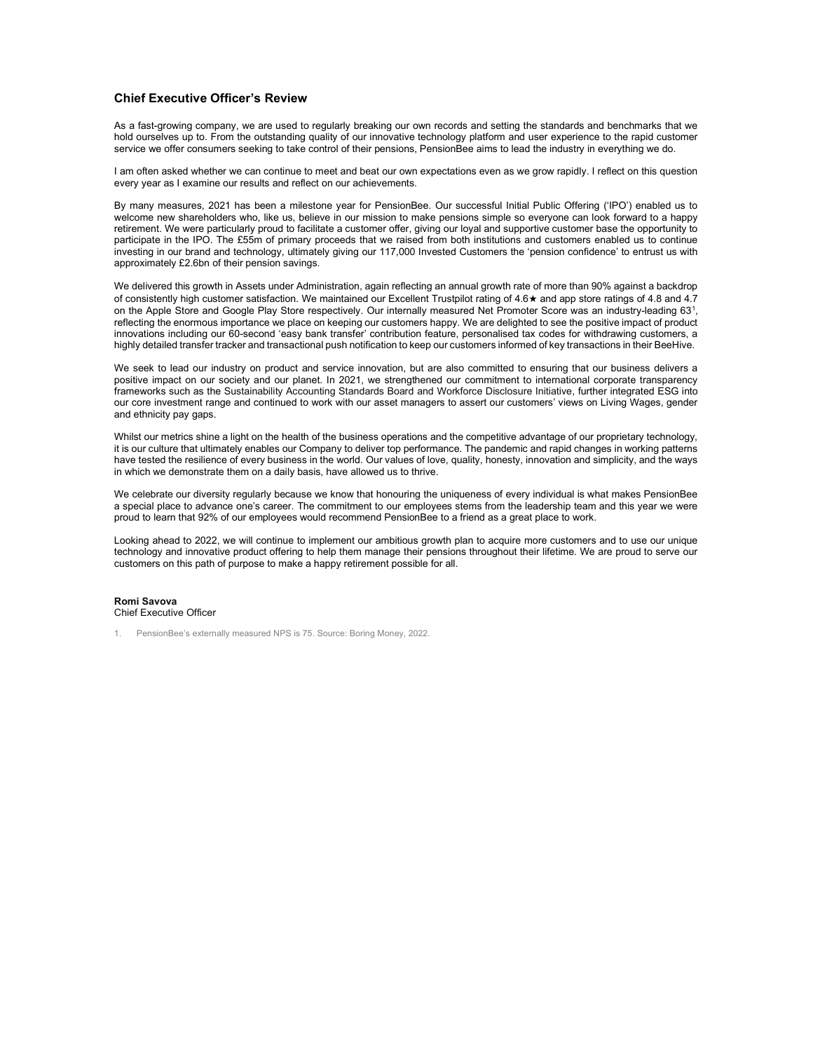# Chief Executive Officer's Review

As a fast-growing company, we are used to regularly breaking our own records and setting the standards and benchmarks that we hold ourselves up to. From the outstanding quality of our innovative technology platform and user experience to the rapid customer service we offer consumers seeking to take control of their pensions, PensionBee aims to lead the industry in everything we do.

I am often asked whether we can continue to meet and beat our own expectations even as we grow rapidly. I reflect on this question every year as I examine our results and reflect on our achievements.

By many measures, 2021 has been a milestone year for PensionBee. Our successful Initial Public Offering ('IPO') enabled us to welcome new shareholders who, like us, believe in our mission to make pensions simple so everyone can look forward to a happy retirement. We were particularly proud to facilitate a customer offer, giving our loyal and supportive customer base the opportunity to participate in the IPO. The £55m of primary proceeds that we raised from both institutions and customers enabled us to continue investing in our brand and technology, ultimately giving our 117,000 Invested Customers the 'pension confidence' to entrust us with approximately £2.6bn of their pension savings.

We delivered this growth in Assets under Administration, again reflecting an annual growth rate of more than 90% against a backdrop of consistently high customer satisfaction. We maintained our Excellent Trustpilot rating of 4.6★ and app store ratings of 4.8 and 4.7 on the Apple Store and Google Play Store respectively. Our internally measured Net Promoter Score was an industry-leading 63<sup>1</sup>, reflecting the enormous importance we place on keeping our customers happy. We are delighted to see the positive impact of product innovations including our 60-second 'easy bank transfer' contribution feature, personalised tax codes for withdrawing customers, a highly detailed transfer tracker and transactional push notification to keep our customers informed of key transactions in their BeeHive.

We seek to lead our industry on product and service innovation, but are also committed to ensuring that our business delivers a positive impact on our society and our planet. In 2021, we strengthened our commitment to international corporate transparency frameworks such as the Sustainability Accounting Standards Board and Workforce Disclosure Initiative, further integrated ESG into our core investment range and continued to work with our asset managers to assert our customers' views on Living Wages, gender and ethnicity pay gaps.

Whilst our metrics shine a light on the health of the business operations and the competitive advantage of our proprietary technology, it is our culture that ultimately enables our Company to deliver top performance. The pandemic and rapid changes in working patterns have tested the resilience of every business in the world. Our values of love, quality, honesty, innovation and simplicity, and the ways in which we demonstrate them on a daily basis, have allowed us to thrive.

We celebrate our diversity regularly because we know that honouring the uniqueness of every individual is what makes PensionBee a special place to advance one's career. The commitment to our employees stems from the leadership team and this year we were proud to learn that 92% of our employees would recommend PensionBee to a friend as a great place to work.

Looking ahead to 2022, we will continue to implement our ambitious growth plan to acquire more customers and to use our unique technology and innovative product offering to help them manage their pensions throughout their lifetime. We are proud to serve our customers on this path of purpose to make a happy retirement possible for all.

#### Romi Savova Chief Executive Officer

1. PensionBee's externally measured NPS is 75. Source: Boring Money, 2022.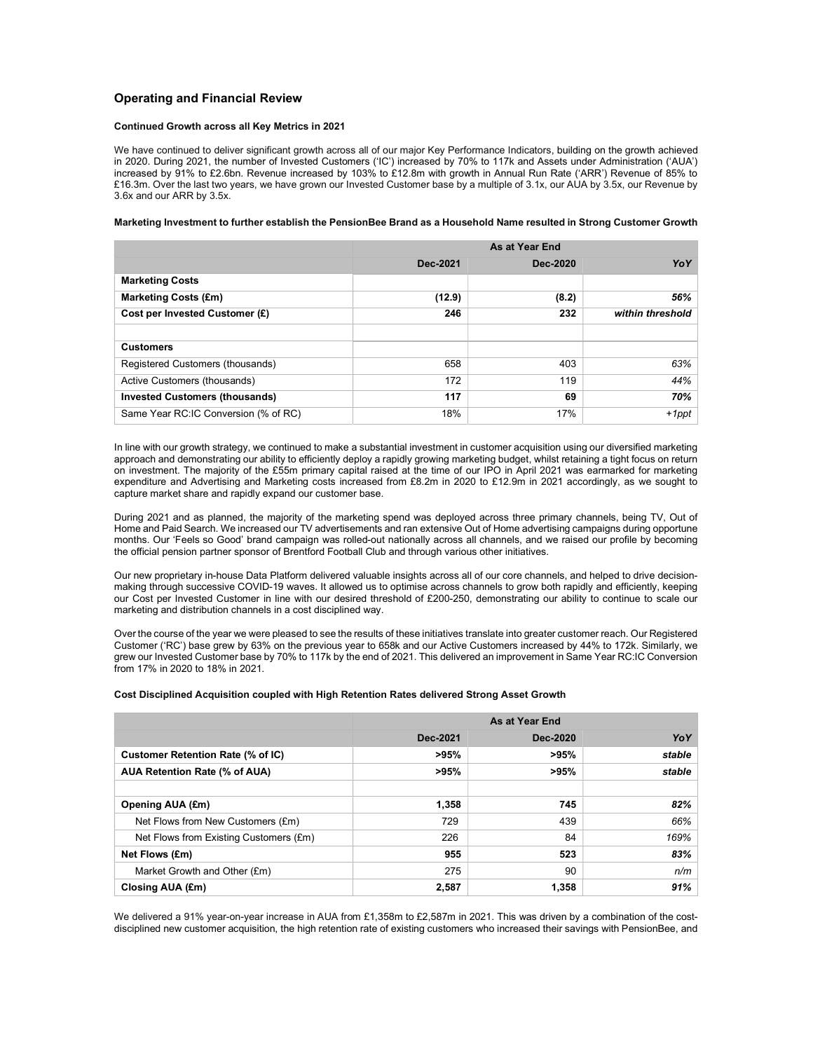# Operating and Financial Review

## Continued Growth across all Key Metrics in 2021

We have continued to deliver significant growth across all of our major Key Performance Indicators, building on the growth achieved in 2020. During 2021, the number of Invested Customers ('IC') increased by 70% to 117k and Assets under Administration ('AUA') increased by 91% to £2.6bn. Revenue increased by 103% to £12.8m with growth in Annual Run Rate ('ARR') Revenue of 85% to £16.3m. Over the last two years, we have grown our Invested Customer base by a multiple of 3.1x, our AUA by 3.5x, our Revenue by 3.6x and our ARR by 3.5x.

### Marketing Investment to further establish the PensionBee Brand as a Household Name resulted in Strong Customer Growth

|                                       | As at Year End |          |                  |  |
|---------------------------------------|----------------|----------|------------------|--|
|                                       | Dec-2021       | Dec-2020 | YoY              |  |
| <b>Marketing Costs</b>                |                |          |                  |  |
| <b>Marketing Costs (£m)</b>           | (12.9)         | (8.2)    | 56%              |  |
| Cost per Invested Customer (£)        | 246            | 232      | within threshold |  |
|                                       |                |          |                  |  |
| <b>Customers</b>                      |                |          |                  |  |
| Registered Customers (thousands)      | 658            | 403      | 63%              |  |
| Active Customers (thousands)          | 172            | 119      | 44%              |  |
| <b>Invested Customers (thousands)</b> | 117            | 69       | 70%              |  |
| Same Year RC:IC Conversion (% of RC)  | 18%            | 17%      | +1ppt            |  |

In line with our growth strategy, we continued to make a substantial investment in customer acquisition using our diversified marketing approach and demonstrating our ability to efficiently deploy a rapidly growing marketing budget, whilst retaining a tight focus on return on investment. The majority of the £55m primary capital raised at the time of our IPO in April 2021 was earmarked for marketing expenditure and Advertising and Marketing costs increased from £8.2m in 2020 to £12.9m in 2021 accordingly, as we sought to capture market share and rapidly expand our customer base.

During 2021 and as planned, the majority of the marketing spend was deployed across three primary channels, being TV, Out of Home and Paid Search. We increased our TV advertisements and ran extensive Out of Home advertising campaigns during opportune months. Our 'Feels so Good' brand campaign was rolled-out nationally across all channels, and we raised our profile by becoming the official pension partner sponsor of Brentford Football Club and through various other initiatives.

Our new proprietary in-house Data Platform delivered valuable insights across all of our core channels, and helped to drive decisionmaking through successive COVID-19 waves. It allowed us to optimise across channels to grow both rapidly and efficiently, keeping our Cost per Invested Customer in line with our desired threshold of £200-250, demonstrating our ability to continue to scale our marketing and distribution channels in a cost disciplined way.

Over the course of the year we were pleased to see the results of these initiatives translate into greater customer reach. Our Registered Customer ('RC') base grew by 63% on the previous year to 658k and our Active Customers increased by 44% to 172k. Similarly, we grew our Invested Customer base by 70% to 117k by the end of 2021. This delivered an improvement in Same Year RC:IC Conversion from 17% in 2020 to 18% in 2021.

## Cost Disciplined Acquisition coupled with High Retention Rates delivered Strong Asset Growth

|                                        |          | As at Year End |        |  |
|----------------------------------------|----------|----------------|--------|--|
|                                        | Dec-2021 | Dec-2020       | YoY    |  |
| Customer Retention Rate (% of IC)      | >95%     | >95%           | stable |  |
| AUA Retention Rate (% of AUA)          | >95%     | >95%           | stable |  |
|                                        |          |                |        |  |
| <b>Opening AUA (£m)</b>                | 1,358    | 745            | 82%    |  |
| Net Flows from New Customers (£m)      | 729      | 439            | 66%    |  |
| Net Flows from Existing Customers (£m) | 226      | 84             | 169%   |  |
| Net Flows (£m)                         | 955      | 523            | 83%    |  |
| Market Growth and Other (£m)           | 275      | 90             | n/m    |  |
| Closing AUA (£m)                       | 2,587    | 1,358          | 91%    |  |

We delivered a 91% year-on-year increase in AUA from £1,358m to £2,587m in 2021. This was driven by a combination of the costdisciplined new customer acquisition, the high retention rate of existing customers who increased their savings with PensionBee, and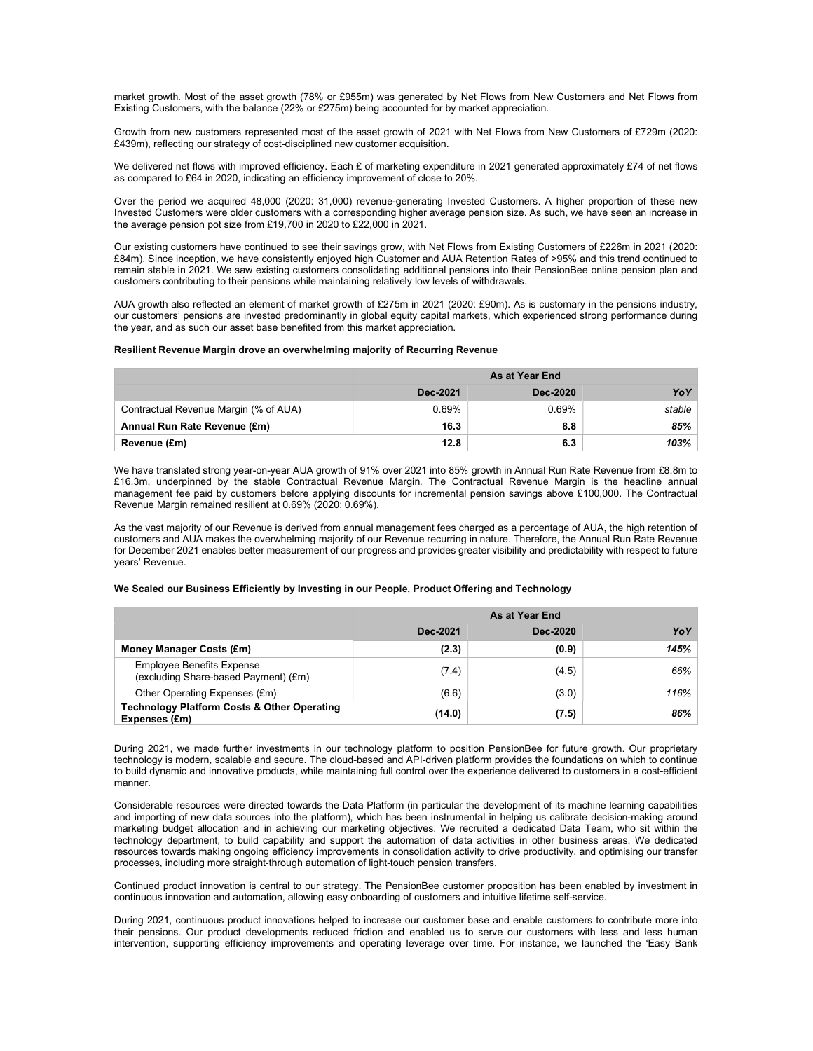market growth. Most of the asset growth (78% or £955m) was generated by Net Flows from New Customers and Net Flows from Existing Customers, with the balance (22% or £275m) being accounted for by market appreciation.

Growth from new customers represented most of the asset growth of 2021 with Net Flows from New Customers of £729m (2020: £439m), reflecting our strategy of cost-disciplined new customer acquisition.

We delivered net flows with improved efficiency. Each £ of marketing expenditure in 2021 generated approximately £74 of net flows as compared to £64 in 2020, indicating an efficiency improvement of close to 20%.

Over the period we acquired 48,000 (2020: 31,000) revenue-generating Invested Customers. A higher proportion of these new Invested Customers were older customers with a corresponding higher average pension size. As such, we have seen an increase in the average pension pot size from £19,700 in 2020 to £22,000 in 2021.

Our existing customers have continued to see their savings grow, with Net Flows from Existing Customers of £226m in 2021 (2020: £84m). Since inception, we have consistently enjoyed high Customer and AUA Retention Rates of >95% and this trend continued to remain stable in 2021. We saw existing customers consolidating additional pensions into their PensionBee online pension plan and customers contributing to their pensions while maintaining relatively low levels of withdrawals.

AUA growth also reflected an element of market growth of £275m in 2021 (2020: £90m). As is customary in the pensions industry, our customers' pensions are invested predominantly in global equity capital markets, which experienced strong performance during the year, and as such our asset base benefited from this market appreciation.

## Resilient Revenue Margin drove an overwhelming majority of Recurring Revenue

|                                       | As at Year End |          |        |  |
|---------------------------------------|----------------|----------|--------|--|
|                                       | Dec-2021       | Dec-2020 | YoY    |  |
| Contractual Revenue Margin (% of AUA) | 0.69%          | 0.69%    | stable |  |
| Annual Run Rate Revenue (£m)          | 16.3           | 8.8      | 85%    |  |
| Revenue (£m)                          | 12.8           | 6.3      | 103%   |  |

We have translated strong year-on-year AUA growth of 91% over 2021 into 85% growth in Annual Run Rate Revenue from £8.8m to £16.3m, underpinned by the stable Contractual Revenue Margin. The Contractual Revenue Margin is the headline annual management fee paid by customers before applying discounts for incremental pension savings above £100,000. The Contractual Revenue Margin remained resilient at 0.69% (2020: 0.69%).

As the vast majority of our Revenue is derived from annual management fees charged as a percentage of AUA, the high retention of customers and AUA makes the overwhelming majority of our Revenue recurring in nature. Therefore, the Annual Run Rate Revenue for December 2021 enables better measurement of our progress and provides greater visibility and predictability with respect to future years' Revenue.

## We Scaled our Business Efficiently by Investing in our People, Product Offering and Technology

|                                                                          | As at Year End |          |      |  |
|--------------------------------------------------------------------------|----------------|----------|------|--|
|                                                                          | Dec-2021       | Dec-2020 | YoY  |  |
| Money Manager Costs (£m)                                                 | (2.3)          | (0.9)    | 145% |  |
| <b>Employee Benefits Expense</b><br>(excluding Share-based Payment) (£m) | (7.4)          | (4.5)    | 66%  |  |
| Other Operating Expenses (£m)                                            | (6.6)          | (3.0)    | 116% |  |
| <b>Technology Platform Costs &amp; Other Operating</b><br>Expenses (£m)  | (14.0)         | (7.5)    | 86%  |  |

During 2021, we made further investments in our technology platform to position PensionBee for future growth. Our proprietary technology is modern, scalable and secure. The cloud-based and API-driven platform provides the foundations on which to continue to build dynamic and innovative products, while maintaining full control over the experience delivered to customers in a cost-efficient manner.

Considerable resources were directed towards the Data Platform (in particular the development of its machine learning capabilities and importing of new data sources into the platform), which has been instrumental in helping us calibrate decision-making around marketing budget allocation and in achieving our marketing objectives. We recruited a dedicated Data Team, who sit within the technology department, to build capability and support the automation of data activities in other business areas. We dedicated resources towards making ongoing efficiency improvements in consolidation activity to drive productivity, and optimising our transfer processes, including more straight-through automation of light-touch pension transfers.

Continued product innovation is central to our strategy. The PensionBee customer proposition has been enabled by investment in continuous innovation and automation, allowing easy onboarding of customers and intuitive lifetime self-service.

During 2021, continuous product innovations helped to increase our customer base and enable customers to contribute more into their pensions. Our product developments reduced friction and enabled us to serve our customers with less and less human intervention, supporting efficiency improvements and operating leverage over time. For instance, we launched the 'Easy Bank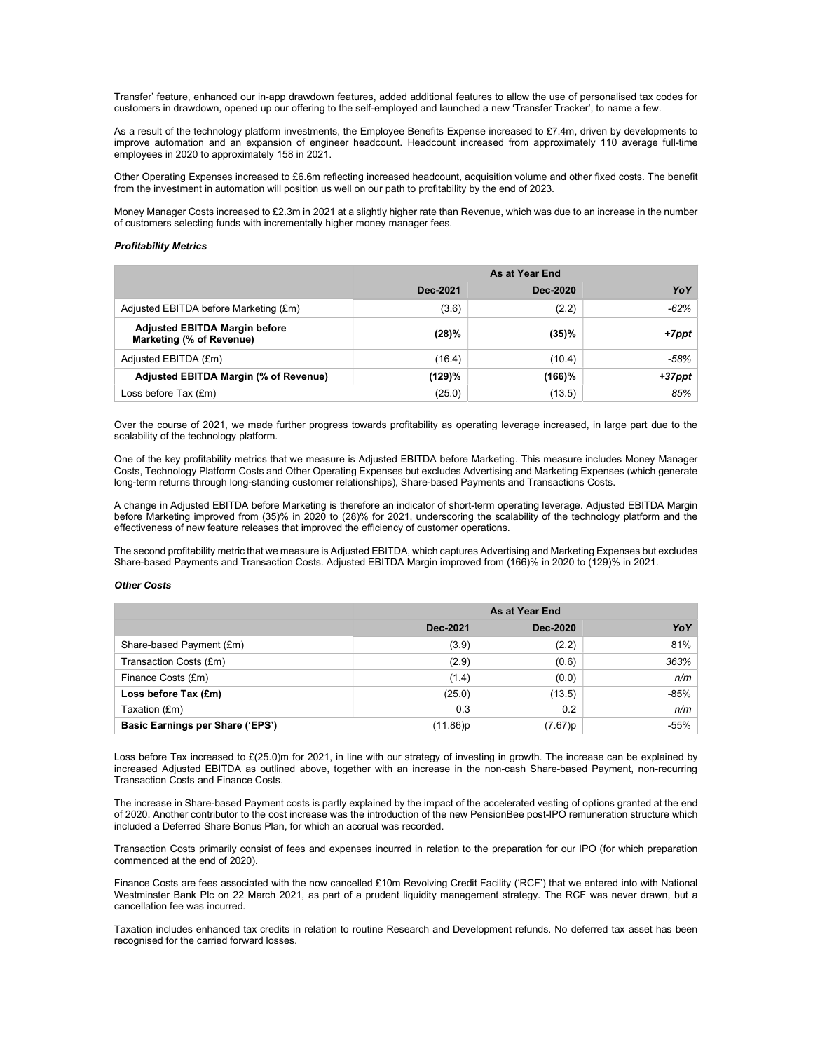Transfer' feature, enhanced our in-app drawdown features, added additional features to allow the use of personalised tax codes for customers in drawdown, opened up our offering to the self-employed and launched a new 'Transfer Tracker', to name a few.

As a result of the technology platform investments, the Employee Benefits Expense increased to £7.4m, driven by developments to improve automation and an expansion of engineer headcount. Headcount increased from approximately 110 average full-time employees in 2020 to approximately 158 in 2021.

Other Operating Expenses increased to £6.6m reflecting increased headcount, acquisition volume and other fixed costs. The benefit from the investment in automation will position us well on our path to profitability by the end of 2023.

Money Manager Costs increased to £2.3m in 2021 at a slightly higher rate than Revenue, which was due to an increase in the number of customers selecting funds with incrementally higher money manager fees.

### Profitability Metrics

|                                                                  | As at Year End |          |           |  |
|------------------------------------------------------------------|----------------|----------|-----------|--|
|                                                                  | Dec-2021       | Dec-2020 | YoY       |  |
| Adjusted EBITDA before Marketing (£m)                            | (3.6)          | (2.2)    | $-62%$    |  |
| <b>Adjusted EBITDA Margin before</b><br>Marketing (% of Revenue) | (28)%          | (35)%    | +7ppt     |  |
| Adjusted EBITDA (£m)                                             | (16.4)         | (10.4)   | $-58%$    |  |
| Adjusted EBITDA Margin (% of Revenue)                            | (129)%         | (166)%   | $+37$ ppt |  |
| Loss before Tax (£m)                                             | (25.0)         | (13.5)   | 85%       |  |

Over the course of 2021, we made further progress towards profitability as operating leverage increased, in large part due to the scalability of the technology platform.

One of the key profitability metrics that we measure is Adjusted EBITDA before Marketing. This measure includes Money Manager Costs, Technology Platform Costs and Other Operating Expenses but excludes Advertising and Marketing Expenses (which generate long-term returns through long-standing customer relationships), Share-based Payments and Transactions Costs.

A change in Adjusted EBITDA before Marketing is therefore an indicator of short-term operating leverage. Adjusted EBITDA Margin before Marketing improved from (35)% in 2020 to (28)% for 2021, underscoring the scalability of the technology platform and the effectiveness of new feature releases that improved the efficiency of customer operations.

The second profitability metric that we measure is Adjusted EBITDA, which captures Advertising and Marketing Expenses but excludes Share-based Payments and Transaction Costs. Adjusted EBITDA Margin improved from (166)% in 2020 to (129)% in 2021.

## Other Costs

|                                  |          | As at Year End |        |  |  |
|----------------------------------|----------|----------------|--------|--|--|
|                                  | Dec-2021 | Dec-2020       | YoY    |  |  |
| Share-based Payment (£m)         | (3.9)    | (2.2)          | 81%    |  |  |
| Transaction Costs (£m)           | (2.9)    | (0.6)          | 363%   |  |  |
| Finance Costs (£m)               | (1.4)    | (0.0)          | n/m    |  |  |
| Loss before Tax (£m)             | (25.0)   | (13.5)         | $-85%$ |  |  |
| Taxation (£m)                    | 0.3      | 0.2            | n/m    |  |  |
| Basic Earnings per Share ('EPS') | (11.86)p | (7.67)p        | $-55%$ |  |  |

Loss before Tax increased to £(25.0)m for 2021, in line with our strategy of investing in growth. The increase can be explained by increased Adjusted EBITDA as outlined above, together with an increase in the non-cash Share-based Payment, non-recurring Transaction Costs and Finance Costs.

The increase in Share-based Payment costs is partly explained by the impact of the accelerated vesting of options granted at the end of 2020. Another contributor to the cost increase was the introduction of the new PensionBee post-IPO remuneration structure which included a Deferred Share Bonus Plan, for which an accrual was recorded.

Transaction Costs primarily consist of fees and expenses incurred in relation to the preparation for our IPO (for which preparation commenced at the end of 2020).

Finance Costs are fees associated with the now cancelled £10m Revolving Credit Facility ('RCF') that we entered into with National Westminster Bank Plc on 22 March 2021, as part of a prudent liquidity management strategy. The RCF was never drawn, but a cancellation fee was incurred.

Taxation includes enhanced tax credits in relation to routine Research and Development refunds. No deferred tax asset has been recognised for the carried forward losses.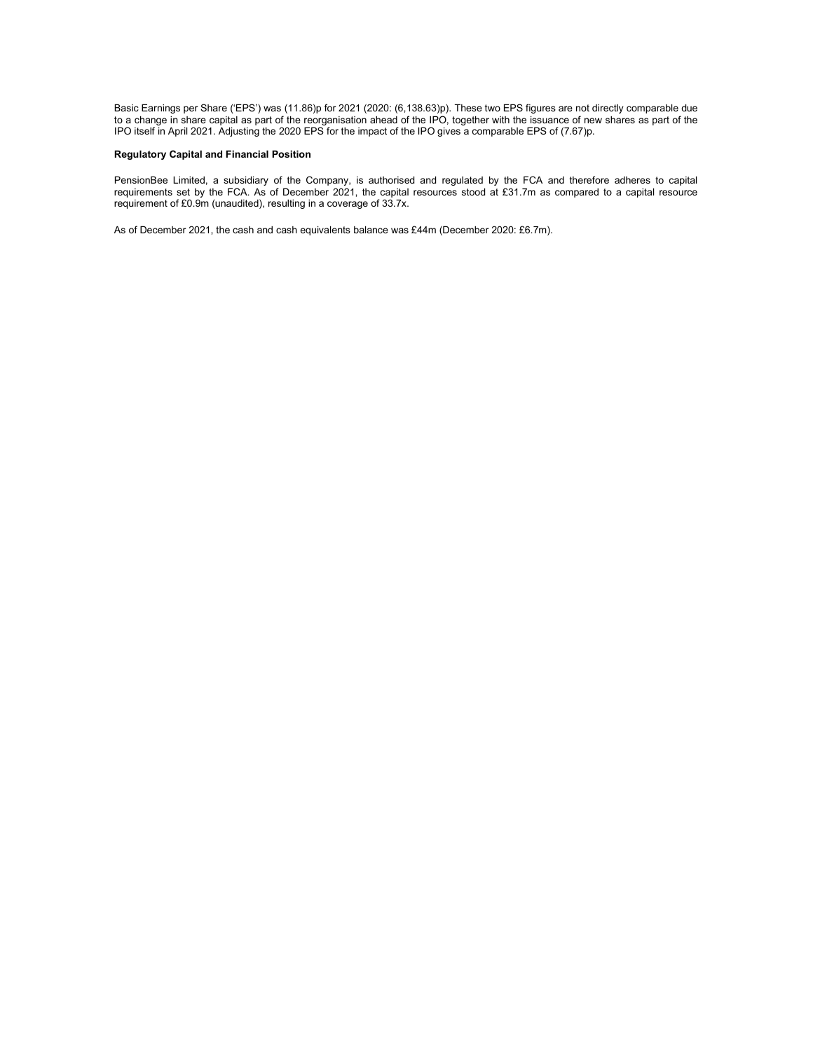Basic Earnings per Share ('EPS') was (11.86)p for 2021 (2020: (6,138.63)p). These two EPS figures are not directly comparable due to a change in share capital as part of the reorganisation ahead of the IPO, together with the issuance of new shares as part of the IPO itself in April 2021. Adjusting the 2020 EPS for the impact of the IPO gives a comparable EPS of (7.67)p.

# Regulatory Capital and Financial Position

PensionBee Limited, a subsidiary of the Company, is authorised and regulated by the FCA and therefore adheres to capital requirements set by the FCA. As of December 2021, the capital resources stood at £31.7m as compared to a capital resource requirement of £0.9m (unaudited), resulting in a coverage of 33.7x.

As of December 2021, the cash and cash equivalents balance was £44m (December 2020: £6.7m).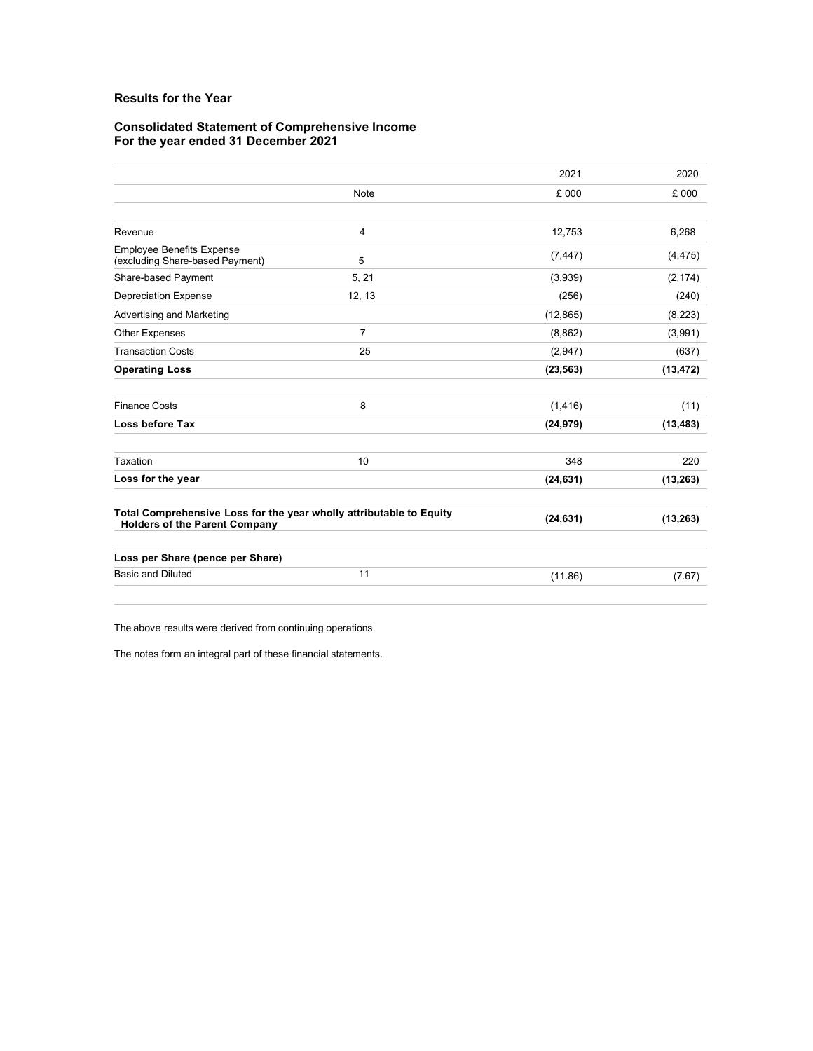# Results for the Year

# Consolidated Statement of Comprehensive Income For the year ended 31 December 2021

|                                                                                                             |                | 2021      | 2020      |
|-------------------------------------------------------------------------------------------------------------|----------------|-----------|-----------|
|                                                                                                             | <b>Note</b>    | £000      | £ 000     |
|                                                                                                             |                |           |           |
| Revenue                                                                                                     | 4              | 12,753    | 6,268     |
| <b>Employee Benefits Expense</b><br>(excluding Share-based Payment)                                         | 5              | (7, 447)  | (4, 475)  |
| Share-based Payment                                                                                         | 5, 21          | (3,939)   | (2, 174)  |
| <b>Depreciation Expense</b>                                                                                 | 12, 13         | (256)     | (240)     |
| Advertising and Marketing                                                                                   |                | (12, 865) | (8, 223)  |
| Other Expenses                                                                                              | $\overline{7}$ | (8,862)   | (3,991)   |
| <b>Transaction Costs</b>                                                                                    | 25             | (2,947)   | (637)     |
| <b>Operating Loss</b>                                                                                       |                | (23, 563) | (13, 472) |
| <b>Finance Costs</b>                                                                                        | 8              | (1, 416)  | (11)      |
| Loss before Tax                                                                                             |                | (24, 979) | (13, 483) |
| Taxation                                                                                                    | 10             | 348       | 220       |
| Loss for the year                                                                                           |                | (24, 631) | (13, 263) |
| Total Comprehensive Loss for the year wholly attributable to Equity<br><b>Holders of the Parent Company</b> |                | (24, 631) | (13, 263) |
| Loss per Share (pence per Share)                                                                            |                |           |           |
| <b>Basic and Diluted</b>                                                                                    | 11             | (11.86)   | (7.67)    |
|                                                                                                             |                |           |           |

The above results were derived from continuing operations.

The notes form an integral part of these financial statements.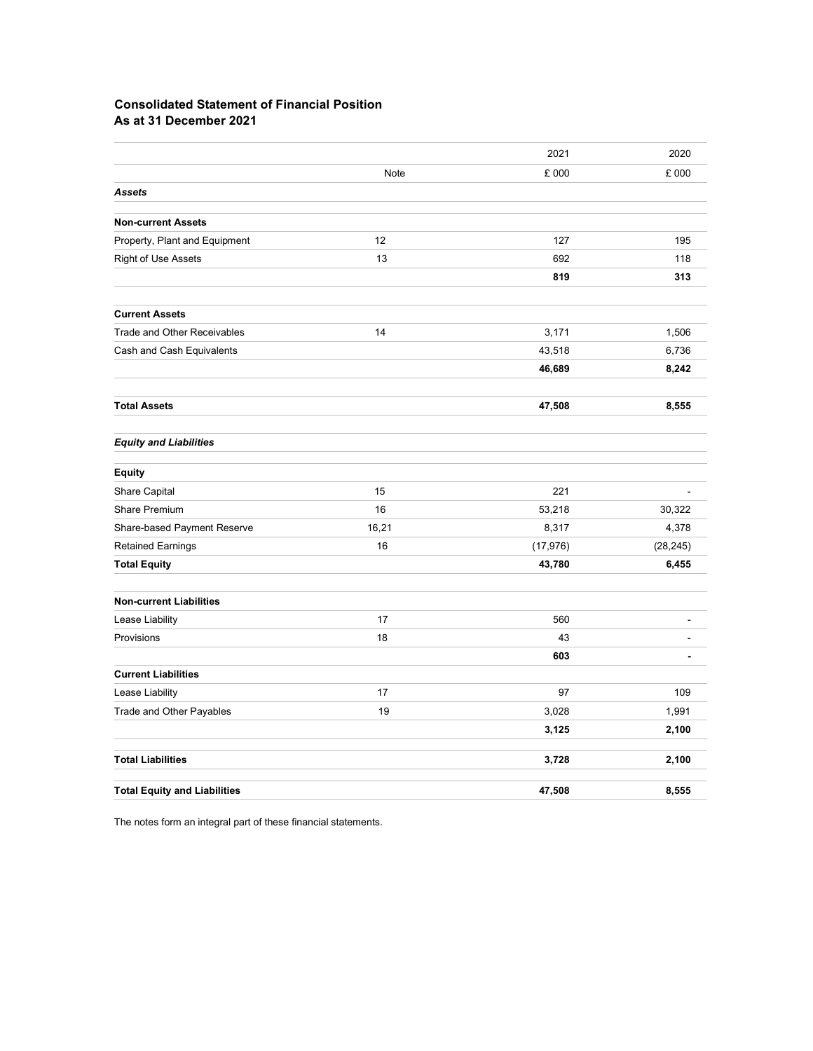# Consolidated Statement of Financial Position As at 31 December 2021

|                                     |       | 2021      | 2020                     |
|-------------------------------------|-------|-----------|--------------------------|
|                                     | Note  | £ 000     | £ 000                    |
| <b>Assets</b>                       |       |           |                          |
| <b>Non-current Assets</b>           |       |           |                          |
| Property, Plant and Equipment       | 12    | 127       | 195                      |
| <b>Right of Use Assets</b>          | 13    | 692       | 118                      |
|                                     |       | 819       | 313                      |
| <b>Current Assets</b>               |       |           |                          |
| <b>Trade and Other Receivables</b>  | 14    | 3,171     | 1,506                    |
| Cash and Cash Equivalents           |       | 43,518    | 6,736                    |
|                                     |       | 46,689    | 8,242                    |
| <b>Total Assets</b>                 |       | 47,508    | 8,555                    |
| <b>Equity and Liabilities</b>       |       |           |                          |
| Equity                              |       |           |                          |
| Share Capital                       | 15    | 221       |                          |
| Share Premium                       | 16    | 53,218    | 30,322                   |
| Share-based Payment Reserve         | 16,21 | 8,317     | 4,378                    |
| <b>Retained Earnings</b>            | 16    | (17, 976) | (28, 245)                |
| <b>Total Equity</b>                 |       | 43,780    | 6,455                    |
| <b>Non-current Liabilities</b>      |       |           |                          |
| Lease Liability                     | 17    | 560       | ÷,                       |
| Provisions                          | 18    | 43        | -                        |
|                                     |       | 603       | $\overline{\phantom{0}}$ |
| <b>Current Liabilities</b>          |       |           |                          |
| Lease Liability                     | 17    | 97        | 109                      |
| Trade and Other Payables            | 19    | 3,028     | 1,991                    |
|                                     |       | 3,125     | 2,100                    |
| <b>Total Liabilities</b>            |       | 3,728     | 2,100                    |
| <b>Total Equity and Liabilities</b> |       | 47,508    | 8,555                    |

The notes form an integral part of these financial statements.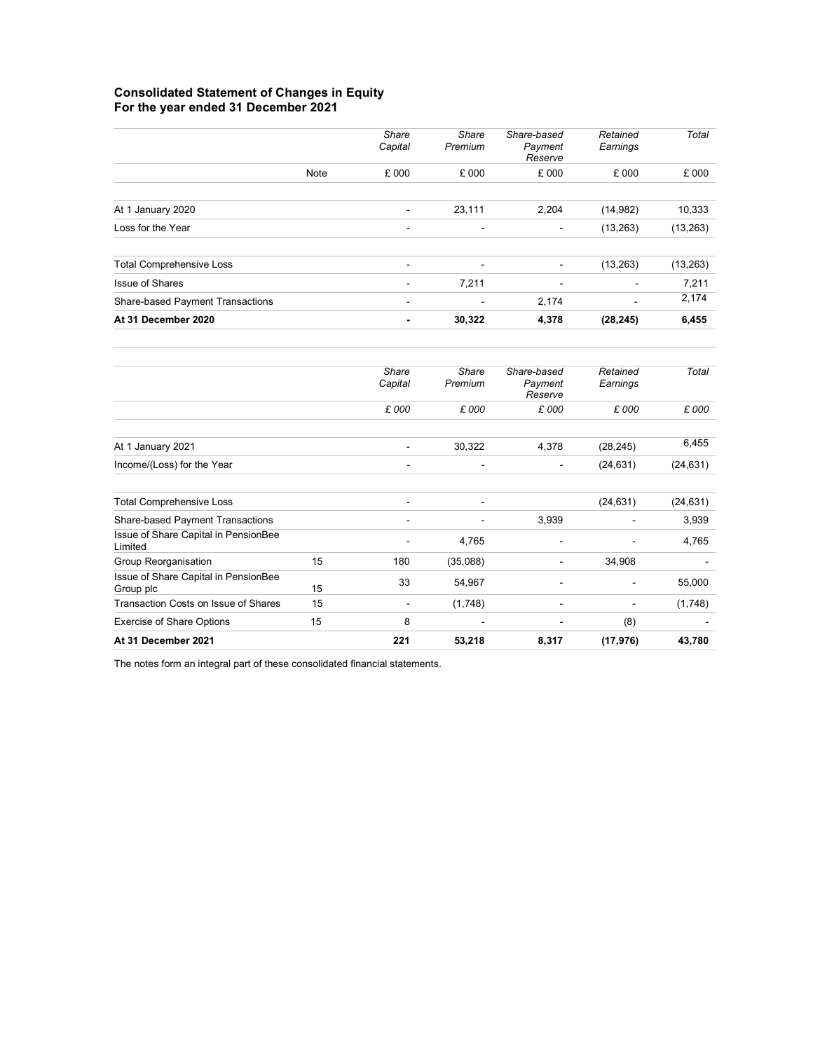# Consolidated Statement of Changes in Equity For the year ended 31 December 2021

|                                         |      | Share<br>Capital | Share<br>Premium | Share-based<br>Payment<br>Reserve | Retained<br>Earnings     | Total     |
|-----------------------------------------|------|------------------|------------------|-----------------------------------|--------------------------|-----------|
|                                         | Note | £ 000            | £ 000            | £ 000                             | £ 000                    | £ 000     |
| At 1 January 2020                       |      | $\qquad \qquad$  | 23,111           | 2,204                             | (14, 982)                | 10,333    |
| Loss for the Year                       |      | $\qquad \qquad$  | ٠                | $\blacksquare$                    | (13, 263)                | (13, 263) |
| <b>Total Comprehensive Loss</b>         |      | $\qquad \qquad$  | ۰                | $\blacksquare$                    | (13, 263)                | (13, 263) |
| <b>Issue of Shares</b>                  |      |                  | 7,211            | ۰                                 |                          | 7,211     |
| <b>Share-based Payment Transactions</b> |      | ٠                |                  | 2,174                             | $\overline{\phantom{a}}$ | 2,174     |
| At 31 December 2020                     |      | $\blacksquare$   | 30,322           | 4,378                             | (28, 245)                | 6,455     |

|                                                   |    | Share<br>Capital         | Share<br>Premium | Share-based<br>Payment<br>Reserve | Retained<br>Earnings | Total     |
|---------------------------------------------------|----|--------------------------|------------------|-----------------------------------|----------------------|-----------|
|                                                   |    | £000                     | £000             | £ 000                             | £000                 | £000      |
| At 1 January 2021                                 |    |                          | 30,322           | 4,378                             | (28, 245)            | 6,455     |
| Income/(Loss) for the Year                        |    | $\overline{\phantom{a}}$ | $\blacksquare$   | $\overline{ }$                    | (24, 631)            | (24, 631) |
| <b>Total Comprehensive Loss</b>                   |    | $\overline{\phantom{a}}$ | ۰                |                                   | (24, 631)            | (24, 631) |
| Share-based Payment Transactions                  |    | ۰                        |                  | 3,939                             |                      | 3,939     |
| Issue of Share Capital in PensionBee<br>Limited   |    |                          | 4,765            |                                   |                      | 4,765     |
| Group Reorganisation                              | 15 | 180                      | (35,088)         |                                   | 34,908               |           |
| Issue of Share Capital in PensionBee<br>Group plc | 15 | 33                       | 54,967           |                                   |                      | 55,000    |
| Transaction Costs on Issue of Shares              | 15 | $\overline{\phantom{a}}$ | (1,748)          | ۰                                 | $\overline{a}$       | (1,748)   |
| <b>Exercise of Share Options</b>                  | 15 | 8                        |                  |                                   | (8)                  |           |
| At 31 December 2021                               |    | 221                      | 53,218           | 8,317                             | (17, 976)            | 43,780    |

The notes form an integral part of these consolidated financial statements.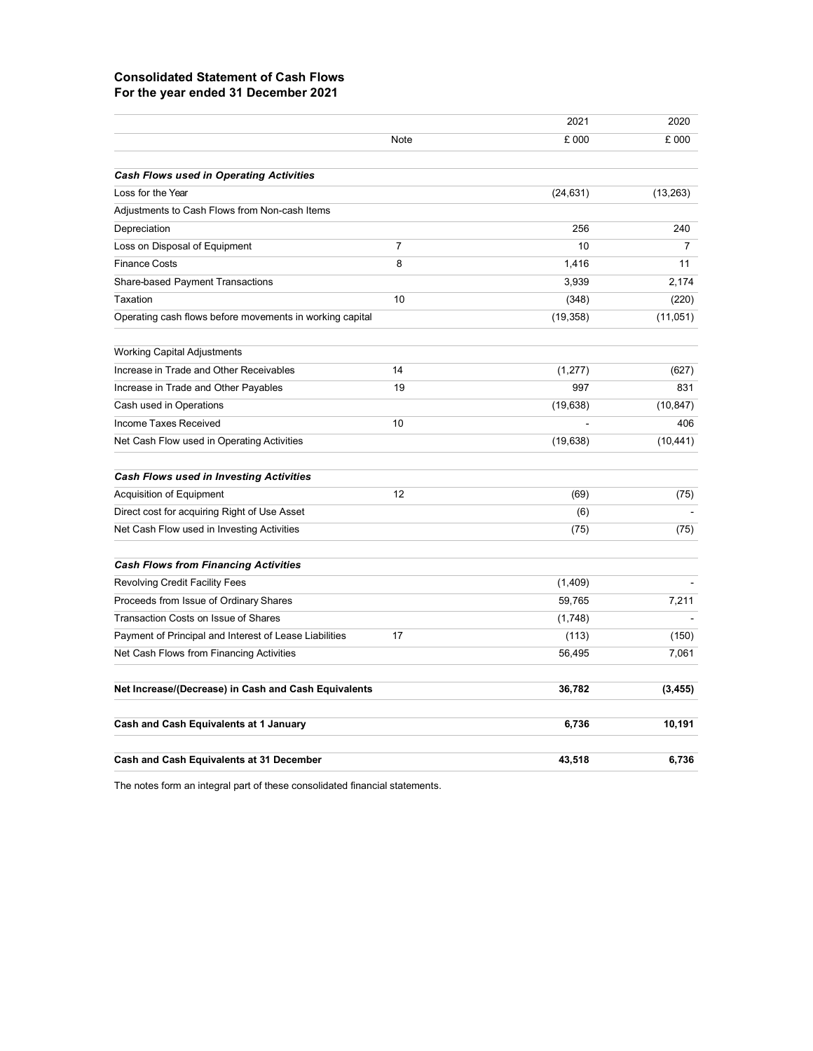# Consolidated Statement of Cash Flows For the year ended 31 December 2021

|                                                          |                | 2021      | 2020           |
|----------------------------------------------------------|----------------|-----------|----------------|
|                                                          | Note           | £ 000     | £ 000          |
|                                                          |                |           |                |
| <b>Cash Flows used in Operating Activities</b>           |                |           |                |
| Loss for the Year                                        |                | (24, 631) | (13, 263)      |
| Adjustments to Cash Flows from Non-cash Items            |                |           |                |
| Depreciation                                             |                | 256       | 240            |
| Loss on Disposal of Equipment                            | $\overline{7}$ | 10        | $\overline{7}$ |
| <b>Finance Costs</b>                                     | 8              | 1,416     | 11             |
| <b>Share-based Payment Transactions</b>                  |                | 3,939     | 2,174          |
| Taxation                                                 | 10             | (348)     | (220)          |
| Operating cash flows before movements in working capital |                | (19, 358) | (11, 051)      |
| <b>Working Capital Adjustments</b>                       |                |           |                |
| Increase in Trade and Other Receivables                  | 14             | (1, 277)  | (627)          |
| Increase in Trade and Other Payables                     | 19             | 997       | 831            |
| Cash used in Operations                                  |                | (19, 638) | (10, 847)      |
| Income Taxes Received                                    | 10             |           | 406            |
| Net Cash Flow used in Operating Activities               |                | (19, 638) | (10, 441)      |
| <b>Cash Flows used in Investing Activities</b>           |                |           |                |
| Acquisition of Equipment                                 | 12             | (69)      | (75)           |
| Direct cost for acquiring Right of Use Asset             |                | (6)       |                |
| Net Cash Flow used in Investing Activities               |                | (75)      | (75)           |
| <b>Cash Flows from Financing Activities</b>              |                |           |                |
| Revolving Credit Facility Fees                           |                | (1,409)   |                |
| Proceeds from Issue of Ordinary Shares                   |                | 59,765    | 7,211          |
| Transaction Costs on Issue of Shares                     |                | (1,748)   |                |
| Payment of Principal and Interest of Lease Liabilities   | 17             | (113)     | (150)          |
| Net Cash Flows from Financing Activities                 |                | 56,495    | 7,061          |
| Net Increase/(Decrease) in Cash and Cash Equivalents     |                | 36,782    | (3, 455)       |
| Cash and Cash Equivalents at 1 January                   |                | 6,736     | 10,191         |
| Cash and Cash Equivalents at 31 December                 |                | 43,518    | 6,736          |

The notes form an integral part of these consolidated financial statements.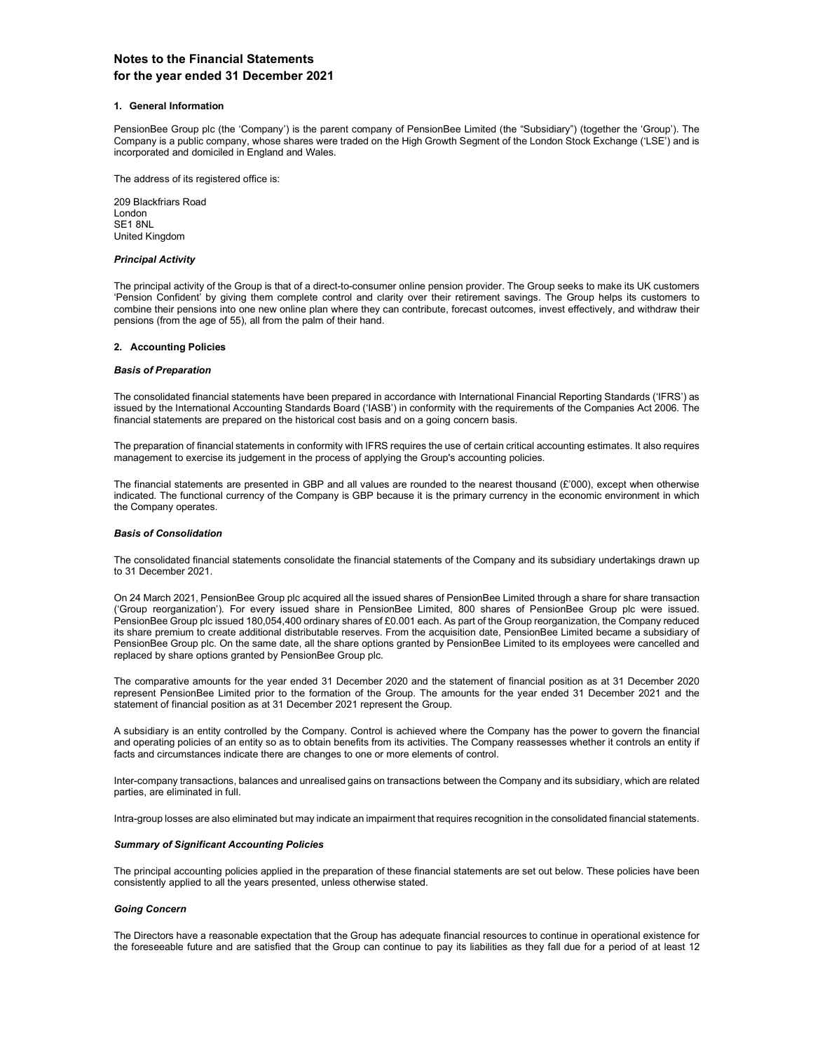# Notes to the Financial Statements for the year ended 31 December 2021

#### 1. General Information

PensionBee Group plc (the 'Company') is the parent company of PensionBee Limited (the "Subsidiary") (together the 'Group'). The Company is a public company, whose shares were traded on the High Growth Segment of the London Stock Exchange ('LSE') and is incorporated and domiciled in England and Wales.

The address of its registered office is:

209 Blackfriars Road London SE1 8NL United Kingdom

## Principal Activity

The principal activity of the Group is that of a direct-to-consumer online pension provider. The Group seeks to make its UK customers 'Pension Confident' by giving them complete control and clarity over their retirement savings. The Group helps its customers to combine their pensions into one new online plan where they can contribute, forecast outcomes, invest effectively, and withdraw their pensions (from the age of 55), all from the palm of their hand.

### 2. Accounting Policies

### Basis of Preparation

The consolidated financial statements have been prepared in accordance with International Financial Reporting Standards ('IFRS') as issued by the International Accounting Standards Board ('IASB') in conformity with the requirements of the Companies Act 2006. The financial statements are prepared on the historical cost basis and on a going concern basis.

The preparation of financial statements in conformity with IFRS requires the use of certain critical accounting estimates. It also requires management to exercise its judgement in the process of applying the Group's accounting policies.

The financial statements are presented in GBP and all values are rounded to the nearest thousand  $(E'000)$ , except when otherwise indicated. The functional currency of the Company is GBP because it is the primary currency in the economic environment in which the Company operates.

## Basis of Consolidation

The consolidated financial statements consolidate the financial statements of the Company and its subsidiary undertakings drawn up to 31 December 2021.

On 24 March 2021, PensionBee Group plc acquired all the issued shares of PensionBee Limited through a share for share transaction ('Group reorganization'). For every issued share in PensionBee Limited, 800 shares of PensionBee Group plc were issued. PensionBee Group plc issued 180,054,400 ordinary shares of £0.001 each. As part of the Group reorganization, the Company reduced its share premium to create additional distributable reserves. From the acquisition date, PensionBee Limited became a subsidiary of PensionBee Group plc. On the same date, all the share options granted by PensionBee Limited to its employees were cancelled and replaced by share options granted by PensionBee Group plc.

The comparative amounts for the year ended 31 December 2020 and the statement of financial position as at 31 December 2020 represent PensionBee Limited prior to the formation of the Group. The amounts for the year ended 31 December 2021 and the statement of financial position as at 31 December 2021 represent the Group.

A subsidiary is an entity controlled by the Company. Control is achieved where the Company has the power to govern the financial and operating policies of an entity so as to obtain benefits from its activities. The Company reassesses whether it controls an entity if facts and circumstances indicate there are changes to one or more elements of control.

Inter-company transactions, balances and unrealised gains on transactions between the Company and its subsidiary, which are related parties, are eliminated in full.

Intra-group losses are also eliminated but may indicate an impairment that requires recognition in the consolidated financial statements.

## Summary of Significant Accounting Policies

The principal accounting policies applied in the preparation of these financial statements are set out below. These policies have been consistently applied to all the years presented, unless otherwise stated.

#### Going Concern

The Directors have a reasonable expectation that the Group has adequate financial resources to continue in operational existence for the foreseeable future and are satisfied that the Group can continue to pay its liabilities as they fall due for a period of at least 12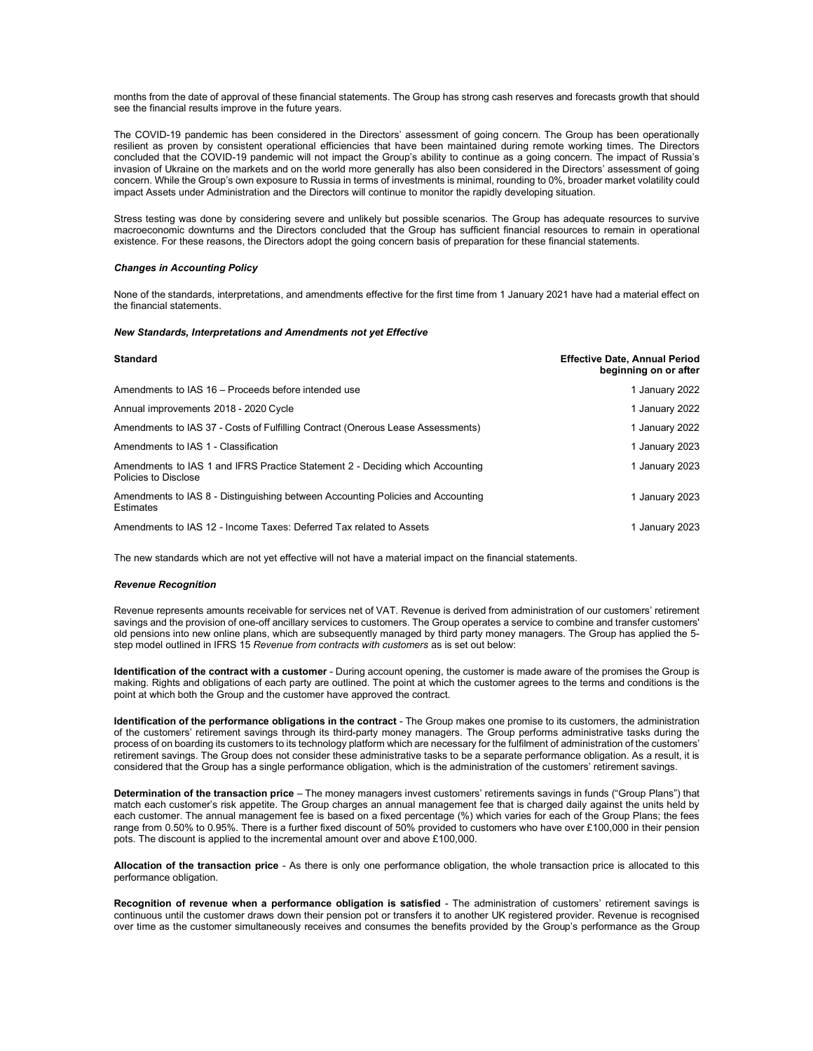months from the date of approval of these financial statements. The Group has strong cash reserves and forecasts growth that should see the financial results improve in the future years.

The COVID-19 pandemic has been considered in the Directors' assessment of going concern. The Group has been operationally resilient as proven by consistent operational efficiencies that have been maintained during remote working times. The Directors concluded that the COVID-19 pandemic will not impact the Group's ability to continue as a going concern. The impact of Russia's invasion of Ukraine on the markets and on the world more generally has also been considered in the Directors' assessment of going concern. While the Group's own exposure to Russia in terms of investments is minimal, rounding to 0%, broader market volatility could impact Assets under Administration and the Directors will continue to monitor the rapidly developing situation.

Stress testing was done by considering severe and unlikely but possible scenarios. The Group has adequate resources to survive macroeconomic downturns and the Directors concluded that the Group has sufficient financial resources to remain in operational existence. For these reasons, the Directors adopt the going concern basis of preparation for these financial statements.

#### Changes in Accounting Policy

None of the standards, interpretations, and amendments effective for the first time from 1 January 2021 have had a material effect on the financial statements.

#### New Standards, Interpretations and Amendments not yet Effective

| <b>Standard</b>                                                                                       | <b>Effective Date, Annual Period</b><br>beginning on or after |
|-------------------------------------------------------------------------------------------------------|---------------------------------------------------------------|
| Amendments to IAS 16 – Proceeds before intended use                                                   | 1 January 2022                                                |
| Annual improvements 2018 - 2020 Cycle                                                                 | 1 January 2022                                                |
| Amendments to IAS 37 - Costs of Fulfilling Contract (Onerous Lease Assessments)                       | 1 January 2022                                                |
| Amendments to IAS 1 - Classification                                                                  | 1 January 2023                                                |
| Amendments to IAS 1 and IFRS Practice Statement 2 - Deciding which Accounting<br>Policies to Disclose | 1 January 2023                                                |
| Amendments to IAS 8 - Distinguishing between Accounting Policies and Accounting<br>Estimates          | 1 January 2023                                                |
| Amendments to IAS 12 - Income Taxes: Deferred Tax related to Assets                                   | 1 January 2023                                                |

The new standards which are not yet effective will not have a material impact on the financial statements.

## Revenue Recognition

Revenue represents amounts receivable for services net of VAT. Revenue is derived from administration of our customers' retirement savings and the provision of one-off ancillary services to customers. The Group operates a service to combine and transfer customers' old pensions into new online plans, which are subsequently managed by third party money managers. The Group has applied the 5 step model outlined in IFRS 15 Revenue from contracts with customers as is set out below:

Identification of the contract with a customer - During account opening, the customer is made aware of the promises the Group is making. Rights and obligations of each party are outlined. The point at which the customer agrees to the terms and conditions is the point at which both the Group and the customer have approved the contract.

Identification of the performance obligations in the contract - The Group makes one promise to its customers, the administration of the customers' retirement savings through its third-party money managers. The Group performs administrative tasks during the process of on boarding its customers to its technology platform which are necessary for the fulfilment of administration of the customers' retirement savings. The Group does not consider these administrative tasks to be a separate performance obligation. As a result, it is considered that the Group has a single performance obligation, which is the administration of the customers' retirement savings.

Determination of the transaction price – The money managers invest customers' retirements savings in funds ("Group Plans") that match each customer's risk appetite. The Group charges an annual management fee that is charged daily against the units held by each customer. The annual management fee is based on a fixed percentage (%) which varies for each of the Group Plans; the fees range from 0.50% to 0.95%. There is a further fixed discount of 50% provided to customers who have over £100,000 in their pension pots. The discount is applied to the incremental amount over and above £100,000.

Allocation of the transaction price - As there is only one performance obligation, the whole transaction price is allocated to this performance obligation.

Recognition of revenue when a performance obligation is satisfied - The administration of customers' retirement savings is continuous until the customer draws down their pension pot or transfers it to another UK registered provider. Revenue is recognised over time as the customer simultaneously receives and consumes the benefits provided by the Group's performance as the Group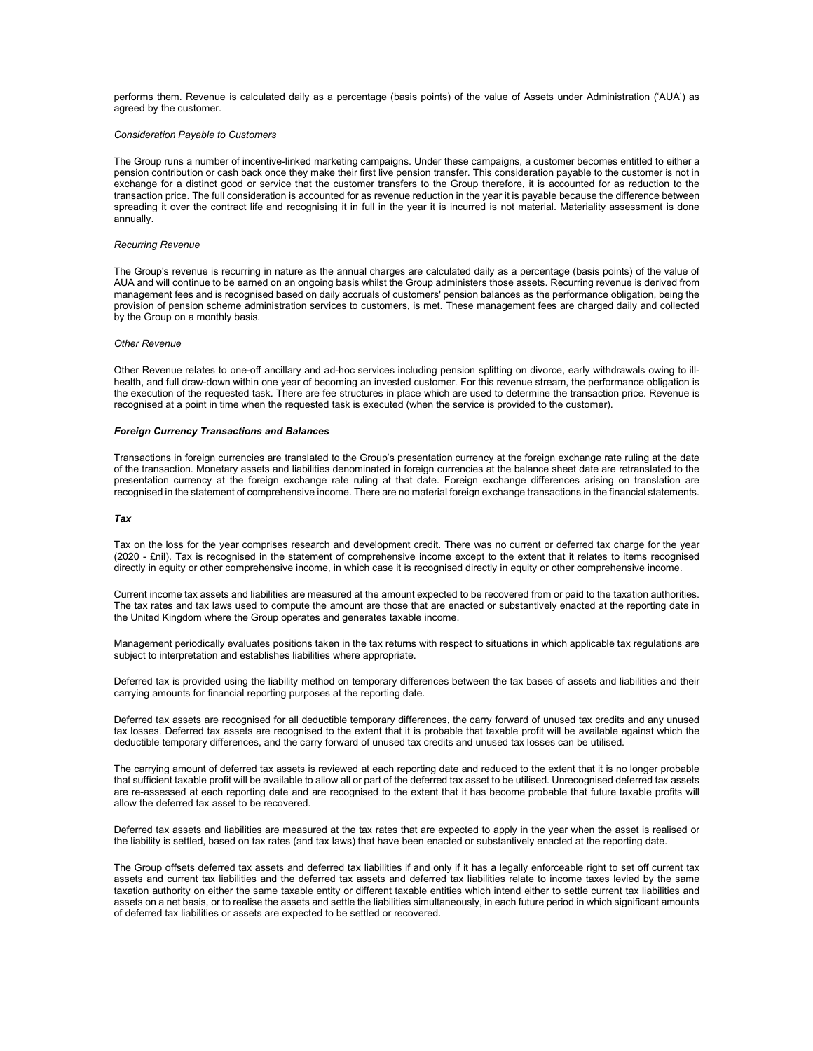performs them. Revenue is calculated daily as a percentage (basis points) of the value of Assets under Administration ('AUA') as agreed by the customer.

### Consideration Payable to Customers

The Group runs a number of incentive-linked marketing campaigns. Under these campaigns, a customer becomes entitled to either a pension contribution or cash back once they make their first live pension transfer. This consideration payable to the customer is not in exchange for a distinct good or service that the customer transfers to the Group therefore, it is accounted for as reduction to the transaction price. The full consideration is accounted for as revenue reduction in the year it is payable because the difference between spreading it over the contract life and recognising it in full in the year it is incurred is not material. Materiality assessment is done annually.

#### Recurring Revenue

The Group's revenue is recurring in nature as the annual charges are calculated daily as a percentage (basis points) of the value of AUA and will continue to be earned on an ongoing basis whilst the Group administers those assets. Recurring revenue is derived from management fees and is recognised based on daily accruals of customers' pension balances as the performance obligation, being the provision of pension scheme administration services to customers, is met. These management fees are charged daily and collected by the Group on a monthly basis.

### Other Revenue

Other Revenue relates to one-off ancillary and ad-hoc services including pension splitting on divorce, early withdrawals owing to illhealth, and full draw-down within one year of becoming an invested customer. For this revenue stream, the performance obligation is the execution of the requested task. There are fee structures in place which are used to determine the transaction price. Revenue is recognised at a point in time when the requested task is executed (when the service is provided to the customer).

#### Foreign Currency Transactions and Balances

Transactions in foreign currencies are translated to the Group's presentation currency at the foreign exchange rate ruling at the date of the transaction. Monetary assets and liabilities denominated in foreign currencies at the balance sheet date are retranslated to the presentation currency at the foreign exchange rate ruling at that date. Foreign exchange differences arising on translation are recognised in the statement of comprehensive income. There are no material foreign exchange transactions in the financial statements.

#### Tax

Tax on the loss for the year comprises research and development credit. There was no current or deferred tax charge for the year (2020 - £nil). Tax is recognised in the statement of comprehensive income except to the extent that it relates to items recognised directly in equity or other comprehensive income, in which case it is recognised directly in equity or other comprehensive income.

Current income tax assets and liabilities are measured at the amount expected to be recovered from or paid to the taxation authorities. The tax rates and tax laws used to compute the amount are those that are enacted or substantively enacted at the reporting date in the United Kingdom where the Group operates and generates taxable income.

Management periodically evaluates positions taken in the tax returns with respect to situations in which applicable tax regulations are subject to interpretation and establishes liabilities where appropriate.

Deferred tax is provided using the liability method on temporary differences between the tax bases of assets and liabilities and their carrying amounts for financial reporting purposes at the reporting date.

Deferred tax assets are recognised for all deductible temporary differences, the carry forward of unused tax credits and any unused tax losses. Deferred tax assets are recognised to the extent that it is probable that taxable profit will be available against which the deductible temporary differences, and the carry forward of unused tax credits and unused tax losses can be utilised.

The carrying amount of deferred tax assets is reviewed at each reporting date and reduced to the extent that it is no longer probable that sufficient taxable profit will be available to allow all or part of the deferred tax asset to be utilised. Unrecognised deferred tax assets are re-assessed at each reporting date and are recognised to the extent that it has become probable that future taxable profits will allow the deferred tax asset to be recovered.

Deferred tax assets and liabilities are measured at the tax rates that are expected to apply in the year when the asset is realised or the liability is settled, based on tax rates (and tax laws) that have been enacted or substantively enacted at the reporting date.

The Group offsets deferred tax assets and deferred tax liabilities if and only if it has a legally enforceable right to set off current tax assets and current tax liabilities and the deferred tax assets and deferred tax liabilities relate to income taxes levied by the same taxation authority on either the same taxable entity or different taxable entities which intend either to settle current tax liabilities and assets on a net basis, or to realise the assets and settle the liabilities simultaneously, in each future period in which significant amounts of deferred tax liabilities or assets are expected to be settled or recovered.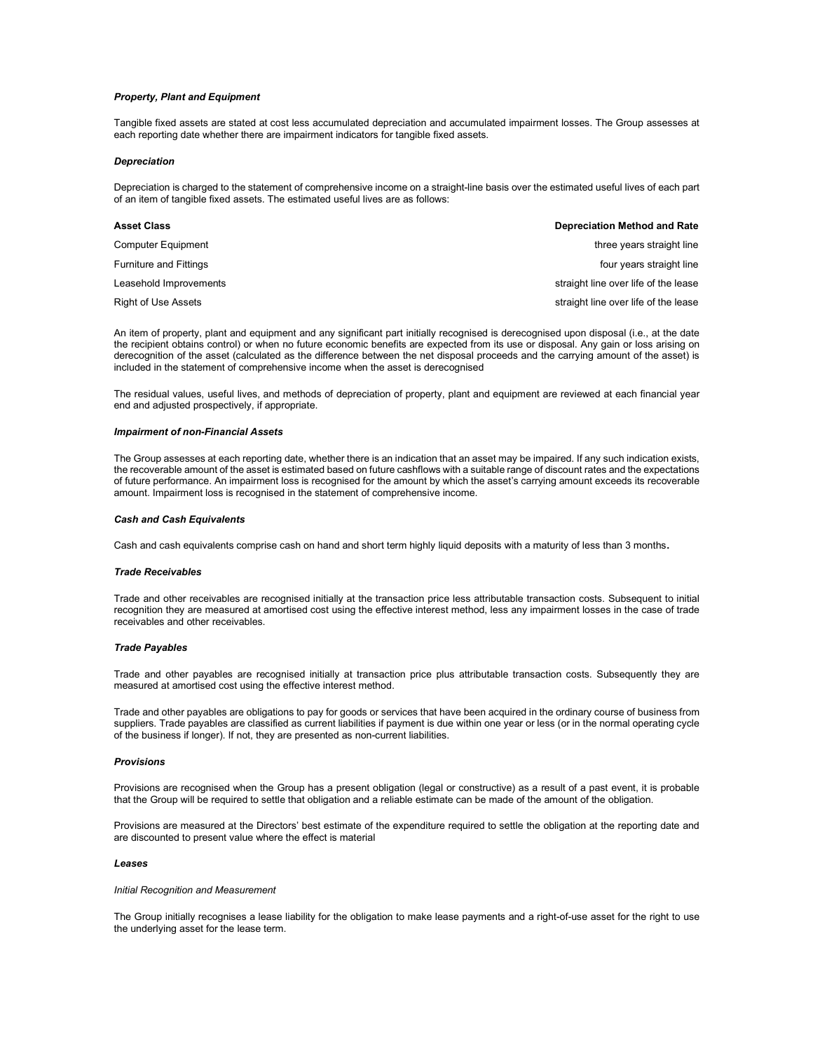#### Property, Plant and Equipment

Tangible fixed assets are stated at cost less accumulated depreciation and accumulated impairment losses. The Group assesses at each reporting date whether there are impairment indicators for tangible fixed assets.

#### Depreciation

Depreciation is charged to the statement of comprehensive income on a straight-line basis over the estimated useful lives of each part of an item of tangible fixed assets. The estimated useful lives are as follows:

| <b>Asset Class</b>            | Depreciation Method and Rate         |
|-------------------------------|--------------------------------------|
| <b>Computer Equipment</b>     | three years straight line            |
| <b>Furniture and Fittings</b> | four years straight line             |
| Leasehold Improvements        | straight line over life of the lease |
| <b>Right of Use Assets</b>    | straight line over life of the lease |

An item of property, plant and equipment and any significant part initially recognised is derecognised upon disposal (i.e., at the date the recipient obtains control) or when no future economic benefits are expected from its use or disposal. Any gain or loss arising on derecognition of the asset (calculated as the difference between the net disposal proceeds and the carrying amount of the asset) is included in the statement of comprehensive income when the asset is derecognised

The residual values, useful lives, and methods of depreciation of property, plant and equipment are reviewed at each financial year end and adjusted prospectively, if appropriate.

### Impairment of non-Financial Assets

The Group assesses at each reporting date, whether there is an indication that an asset may be impaired. If any such indication exists, the recoverable amount of the asset is estimated based on future cashflows with a suitable range of discount rates and the expectations of future performance. An impairment loss is recognised for the amount by which the asset's carrying amount exceeds its recoverable amount. Impairment loss is recognised in the statement of comprehensive income.

### Cash and Cash Equivalents

Cash and cash equivalents comprise cash on hand and short term highly liquid deposits with a maturity of less than 3 months.

### Trade Receivables

Trade and other receivables are recognised initially at the transaction price less attributable transaction costs. Subsequent to initial recognition they are measured at amortised cost using the effective interest method, less any impairment losses in the case of trade receivables and other receivables.

#### Trade Payables

Trade and other payables are recognised initially at transaction price plus attributable transaction costs. Subsequently they are measured at amortised cost using the effective interest method.

Trade and other payables are obligations to pay for goods or services that have been acquired in the ordinary course of business from suppliers. Trade payables are classified as current liabilities if payment is due within one year or less (or in the normal operating cycle of the business if longer). If not, they are presented as non-current liabilities.

#### Provisions

Provisions are recognised when the Group has a present obligation (legal or constructive) as a result of a past event, it is probable that the Group will be required to settle that obligation and a reliable estimate can be made of the amount of the obligation.

Provisions are measured at the Directors' best estimate of the expenditure required to settle the obligation at the reporting date and are discounted to present value where the effect is material

#### Leases

Initial Recognition and Measurement

The Group initially recognises a lease liability for the obligation to make lease payments and a right-of-use asset for the right to use the underlying asset for the lease term.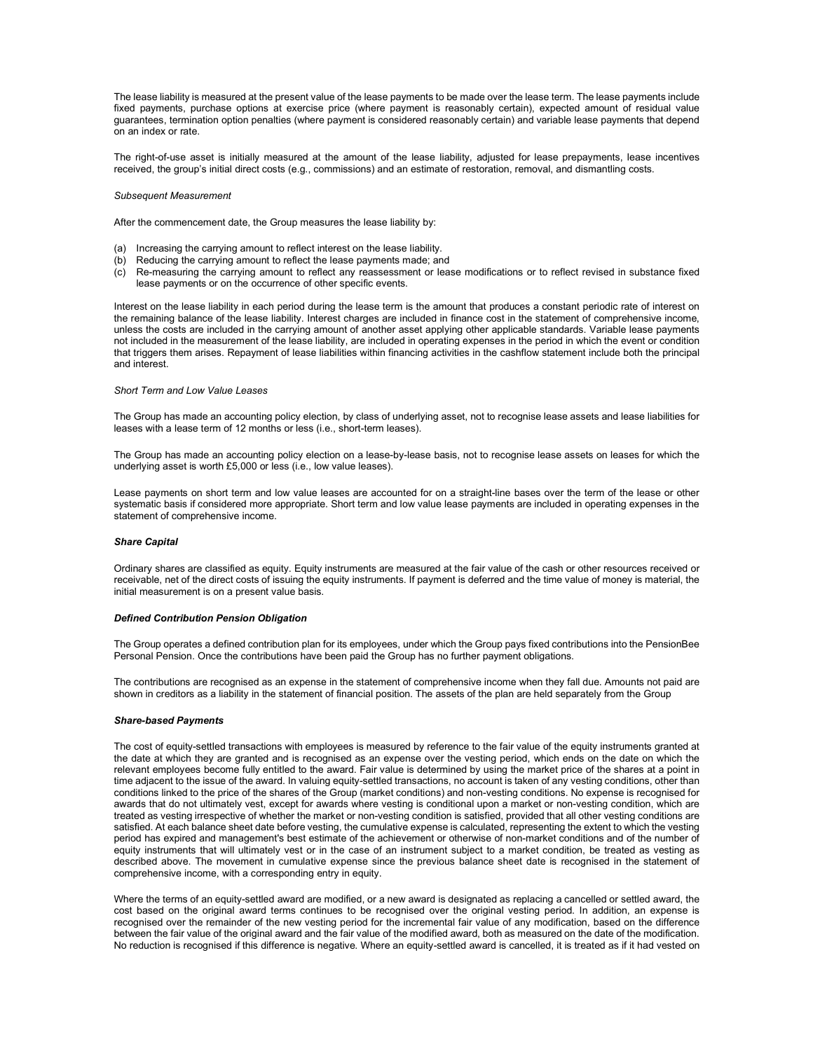The lease liability is measured at the present value of the lease payments to be made over the lease term. The lease payments include fixed payments, purchase options at exercise price (where payment is reasonably certain), expected amount of residual value guarantees, termination option penalties (where payment is considered reasonably certain) and variable lease payments that depend on an index or rate.

The right-of-use asset is initially measured at the amount of the lease liability, adjusted for lease prepayments, lease incentives received, the group's initial direct costs (e.g., commissions) and an estimate of restoration, removal, and dismantling costs.

#### Subsequent Measurement

After the commencement date, the Group measures the lease liability by:

- (a) Increasing the carrying amount to reflect interest on the lease liability.<br>(b) Reducing the carrying amount to reflect the lease payments made: an
- Reducing the carrying amount to reflect the lease payments made; and
- (c) Re-measuring the carrying amount to reflect any reassessment or lease modifications or to reflect revised in substance fixed lease payments or on the occurrence of other specific events.

Interest on the lease liability in each period during the lease term is the amount that produces a constant periodic rate of interest on the remaining balance of the lease liability. Interest charges are included in finance cost in the statement of comprehensive income, unless the costs are included in the carrying amount of another asset applying other applicable standards. Variable lease payments not included in the measurement of the lease liability, are included in operating expenses in the period in which the event or condition that triggers them arises. Repayment of lease liabilities within financing activities in the cashflow statement include both the principal and interest.

#### Short Term and Low Value Leases

The Group has made an accounting policy election, by class of underlying asset, not to recognise lease assets and lease liabilities for leases with a lease term of 12 months or less (i.e., short-term leases).

The Group has made an accounting policy election on a lease-by-lease basis, not to recognise lease assets on leases for which the underlying asset is worth £5,000 or less (i.e., low value leases).

Lease payments on short term and low value leases are accounted for on a straight-line bases over the term of the lease or other systematic basis if considered more appropriate. Short term and low value lease payments are included in operating expenses in the statement of comprehensive income.

#### Share Capital

Ordinary shares are classified as equity. Equity instruments are measured at the fair value of the cash or other resources received or receivable, net of the direct costs of issuing the equity instruments. If payment is deferred and the time value of money is material, the initial measurement is on a present value basis.

#### Defined Contribution Pension Obligation

The Group operates a defined contribution plan for its employees, under which the Group pays fixed contributions into the PensionBee Personal Pension. Once the contributions have been paid the Group has no further payment obligations.

The contributions are recognised as an expense in the statement of comprehensive income when they fall due. Amounts not paid are shown in creditors as a liability in the statement of financial position. The assets of the plan are held separately from the Group

## Share-based Payments

The cost of equity-settled transactions with employees is measured by reference to the fair value of the equity instruments granted at the date at which they are granted and is recognised as an expense over the vesting period, which ends on the date on which the relevant employees become fully entitled to the award. Fair value is determined by using the market price of the shares at a point in time adjacent to the issue of the award. In valuing equity-settled transactions, no account is taken of any vesting conditions, other than conditions linked to the price of the shares of the Group (market conditions) and non-vesting conditions. No expense is recognised for awards that do not ultimately vest, except for awards where vesting is conditional upon a market or non-vesting condition, which are treated as vesting irrespective of whether the market or non-vesting condition is satisfied, provided that all other vesting conditions are satisfied. At each balance sheet date before vesting, the cumulative expense is calculated, representing the extent to which the vesting period has expired and management's best estimate of the achievement or otherwise of non-market conditions and of the number of equity instruments that will ultimately vest or in the case of an instrument subject to a market condition, be treated as vesting as described above. The movement in cumulative expense since the previous balance sheet date is recognised in the statement of comprehensive income, with a corresponding entry in equity.

Where the terms of an equity-settled award are modified, or a new award is designated as replacing a cancelled or settled award, the cost based on the original award terms continues to be recognised over the original vesting period. In addition, an expense is recognised over the remainder of the new vesting period for the incremental fair value of any modification, based on the difference between the fair value of the original award and the fair value of the modified award, both as measured on the date of the modification. No reduction is recognised if this difference is negative. Where an equity-settled award is cancelled, it is treated as if it had vested on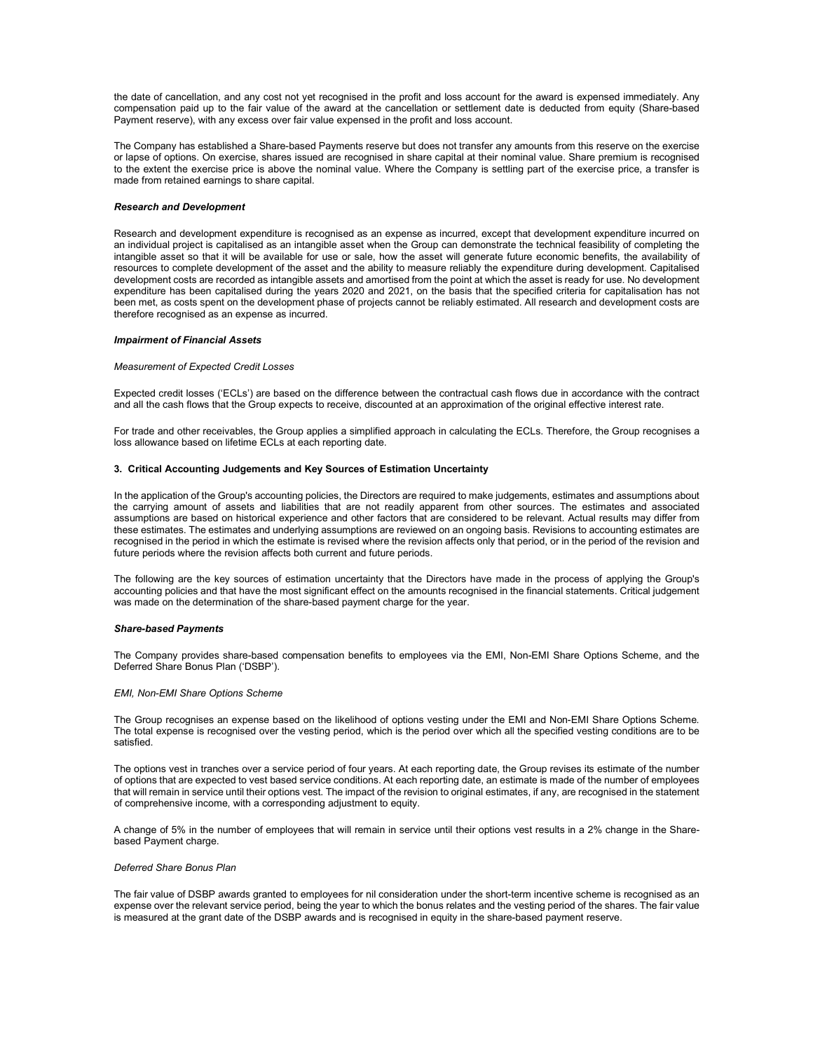the date of cancellation, and any cost not yet recognised in the profit and loss account for the award is expensed immediately. Any compensation paid up to the fair value of the award at the cancellation or settlement date is deducted from equity (Share-based Payment reserve), with any excess over fair value expensed in the profit and loss account.

The Company has established a Share-based Payments reserve but does not transfer any amounts from this reserve on the exercise or lapse of options. On exercise, shares issued are recognised in share capital at their nominal value. Share premium is recognised to the extent the exercise price is above the nominal value. Where the Company is settling part of the exercise price, a transfer is made from retained earnings to share capital.

### Research and Development

Research and development expenditure is recognised as an expense as incurred, except that development expenditure incurred on an individual project is capitalised as an intangible asset when the Group can demonstrate the technical feasibility of completing the intangible asset so that it will be available for use or sale, how the asset will generate future economic benefits, the availability of resources to complete development of the asset and the ability to measure reliably the expenditure during development. Capitalised development costs are recorded as intangible assets and amortised from the point at which the asset is ready for use. No development expenditure has been capitalised during the years 2020 and 2021, on the basis that the specified criteria for capitalisation has not been met, as costs spent on the development phase of projects cannot be reliably estimated. All research and development costs are therefore recognised as an expense as incurred.

### Impairment of Financial Assets

#### Measurement of Expected Credit Losses

Expected credit losses ('ECLs') are based on the difference between the contractual cash flows due in accordance with the contract and all the cash flows that the Group expects to receive, discounted at an approximation of the original effective interest rate.

For trade and other receivables, the Group applies a simplified approach in calculating the ECLs. Therefore, the Group recognises a loss allowance based on lifetime ECLs at each reporting date.

## 3. Critical Accounting Judgements and Key Sources of Estimation Uncertainty

In the application of the Group's accounting policies, the Directors are required to make judgements, estimates and assumptions about the carrying amount of assets and liabilities that are not readily apparent from other sources. The estimates and associated assumptions are based on historical experience and other factors that are considered to be relevant. Actual results may differ from these estimates. The estimates and underlying assumptions are reviewed on an ongoing basis. Revisions to accounting estimates are recognised in the period in which the estimate is revised where the revision affects only that period, or in the period of the revision and future periods where the revision affects both current and future periods.

The following are the key sources of estimation uncertainty that the Directors have made in the process of applying the Group's accounting policies and that have the most significant effect on the amounts recognised in the financial statements. Critical judgement was made on the determination of the share-based payment charge for the year.

## Share-based Payments

The Company provides share-based compensation benefits to employees via the EMI, Non-EMI Share Options Scheme, and the Deferred Share Bonus Plan ('DSBP').

#### EMI, Non-EMI Share Options Scheme

The Group recognises an expense based on the likelihood of options vesting under the EMI and Non-EMI Share Options Scheme. The total expense is recognised over the vesting period, which is the period over which all the specified vesting conditions are to be satisfied.

The options vest in tranches over a service period of four years. At each reporting date, the Group revises its estimate of the number of options that are expected to vest based service conditions. At each reporting date, an estimate is made of the number of employees that will remain in service until their options vest. The impact of the revision to original estimates, if any, are recognised in the statement of comprehensive income, with a corresponding adjustment to equity.

A change of 5% in the number of employees that will remain in service until their options vest results in a 2% change in the Sharebased Payment charge.

### Deferred Share Bonus Plan

The fair value of DSBP awards granted to employees for nil consideration under the short-term incentive scheme is recognised as an expense over the relevant service period, being the year to which the bonus relates and the vesting period of the shares. The fair value is measured at the grant date of the DSBP awards and is recognised in equity in the share-based payment reserve.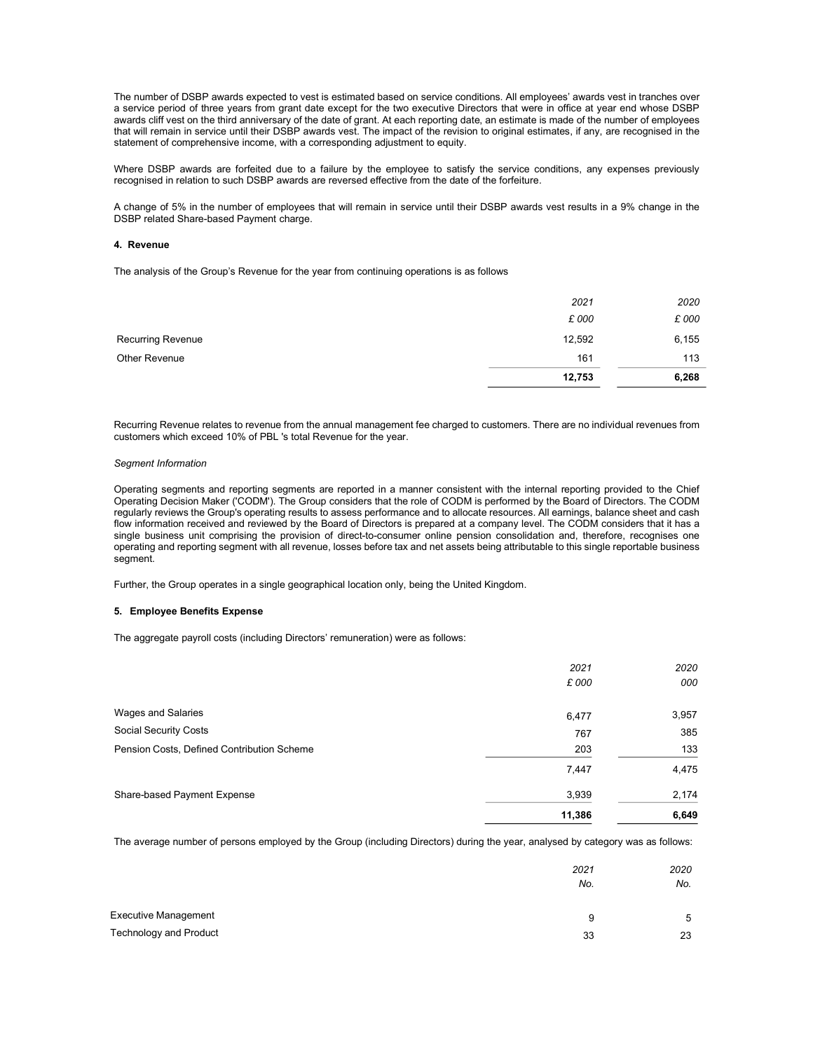The number of DSBP awards expected to vest is estimated based on service conditions. All employees' awards vest in tranches over a service period of three years from grant date except for the two executive Directors that were in office at year end whose DSBP awards cliff vest on the third anniversary of the date of grant. At each reporting date, an estimate is made of the number of employees that will remain in service until their DSBP awards vest. The impact of the revision to original estimates, if any, are recognised in the statement of comprehensive income, with a corresponding adjustment to equity.

Where DSBP awards are forfeited due to a failure by the employee to satisfy the service conditions, any expenses previously recognised in relation to such DSBP awards are reversed effective from the date of the forfeiture.

A change of 5% in the number of employees that will remain in service until their DSBP awards vest results in a 9% change in the DSBP related Share-based Payment charge.

# 4. Revenue

The analysis of the Group's Revenue for the year from continuing operations is as follows

|                          | 12,753 | 6,268 |
|--------------------------|--------|-------|
| Other Revenue            | 161    | 113   |
| <b>Recurring Revenue</b> | 12,592 | 6,155 |
|                          | £ 000  | £ 000 |
|                          | 2021   | 2020  |

Recurring Revenue relates to revenue from the annual management fee charged to customers. There are no individual revenues from customers which exceed 10% of PBL 's total Revenue for the year.

## Seament Information

Operating segments and reporting segments are reported in a manner consistent with the internal reporting provided to the Chief Operating Decision Maker ('CODM'). The Group considers that the role of CODM is performed by the Board of Directors. The CODM regularly reviews the Group's operating results to assess performance and to allocate resources. All earnings, balance sheet and cash flow information received and reviewed by the Board of Directors is prepared at a company level. The CODM considers that it has a single business unit comprising the provision of direct-to-consumer online pension consolidation and, therefore, recognises one operating and reporting segment with all revenue, losses before tax and net assets being attributable to this single reportable business seament.

## 5. Employee Benefits Expense

| Further, the Group operates in a single geographical location only, being the United Kingdom.                                   |        |       |
|---------------------------------------------------------------------------------------------------------------------------------|--------|-------|
| 5. Employee Benefits Expense                                                                                                    |        |       |
| The aggregate payroll costs (including Directors' remuneration) were as follows:                                                |        |       |
|                                                                                                                                 | 2021   | 2020  |
|                                                                                                                                 | £ 000  | 000   |
| Wages and Salaries                                                                                                              | 6,477  | 3,957 |
| Social Security Costs                                                                                                           | 767    | 385   |
| Pension Costs, Defined Contribution Scheme                                                                                      | 203    | 133   |
|                                                                                                                                 | 7,447  | 4,475 |
| Share-based Payment Expense                                                                                                     | 3,939  | 2,174 |
|                                                                                                                                 | 11,386 | 6,649 |
| The average number of persons employed by the Group (including Directors) during the year, analysed by category was as follows: |        |       |
|                                                                                                                                 | 2021   | 2020  |
|                                                                                                                                 | No.    | No.   |
| Executive Management                                                                                                            | 9      | 5     |
|                                                                                                                                 |        |       |
| Technology and Product                                                                                                          | 33     | 23    |

|                             | 2021<br>No. | 2020<br>No. |
|-----------------------------|-------------|-------------|
| <b>Executive Management</b> | 9           | 5           |
| Technology and Product      | 33          | 23          |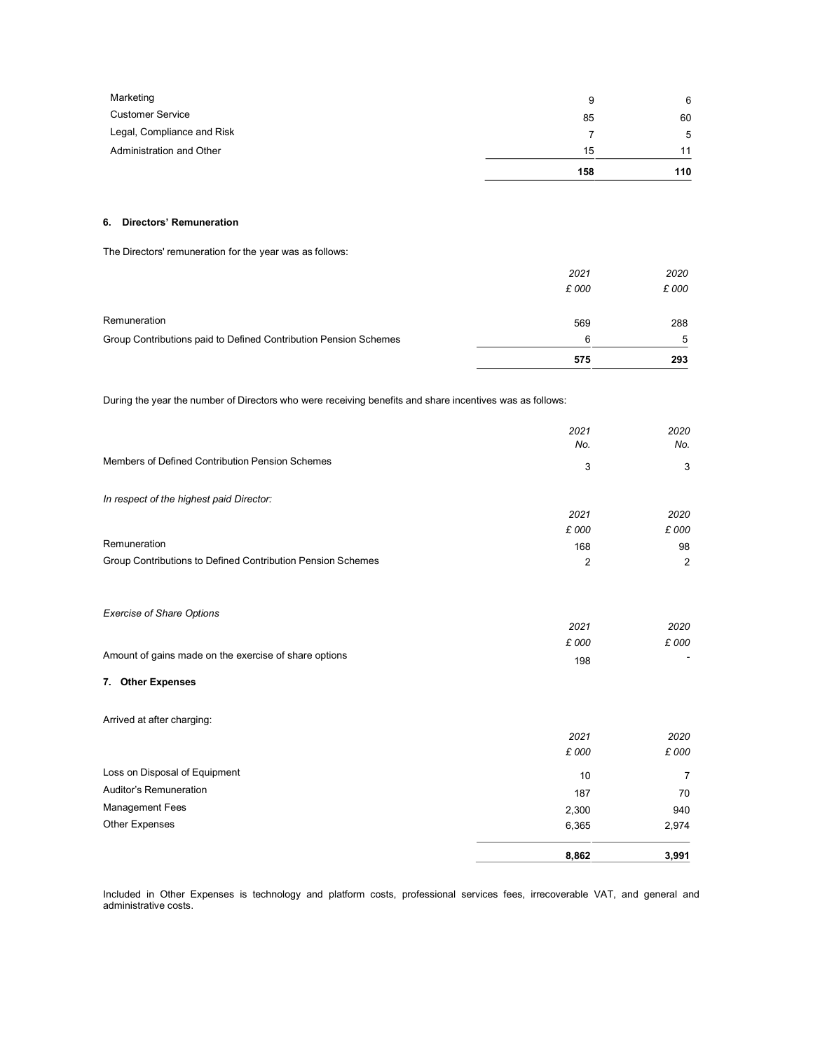# 6. Directors' Remuneration

| Marketing                                                        | 9              | 6     |
|------------------------------------------------------------------|----------------|-------|
| <b>Customer Service</b>                                          | 85             | 60    |
| Legal, Compliance and Risk                                       | $\overline{7}$ | 5     |
| Administration and Other                                         | 15             | 11    |
|                                                                  | 158            | 110   |
|                                                                  |                |       |
| 6. Directors' Remuneration                                       |                |       |
| The Directors' remuneration for the year was as follows:         |                |       |
|                                                                  | 2021           | 2020  |
|                                                                  | £ 000          | £ 000 |
| Remuneration                                                     | 569            | 288   |
| Group Contributions paid to Defined Contribution Pension Schemes | 6              | 5     |
|                                                                  |                | 293   |

|                                                             | 2021  | 2020           |  |
|-------------------------------------------------------------|-------|----------------|--|
|                                                             | No.   | No.            |  |
| Members of Defined Contribution Pension Schemes             | 3     | 3              |  |
| In respect of the highest paid Director:                    |       |                |  |
|                                                             | 2021  | 2020           |  |
|                                                             | £ 000 | £000           |  |
| Remuneration                                                |       |                |  |
|                                                             | 168   | 98             |  |
| Group Contributions to Defined Contribution Pension Schemes | 2     | 2              |  |
|                                                             |       |                |  |
| <b>Exercise of Share Options</b>                            |       |                |  |
|                                                             | 2021  | 2020           |  |
|                                                             | £ 000 | £ 000          |  |
| Amount of gains made on the exercise of share options       | 198   |                |  |
| 7. Other Expenses                                           |       |                |  |
| Arrived at after charging:                                  |       |                |  |
|                                                             | 2021  | 2020           |  |
|                                                             | £ 000 | £000           |  |
| Loss on Disposal of Equipment                               | 10    | $\overline{7}$ |  |
| Auditor's Remuneration                                      | 187   | 70             |  |
| Management Fees                                             | 2,300 | 940            |  |
| Other Expenses                                              | 6,365 | 2,974          |  |
|                                                             | 8,862 | 3,991          |  |

Included in Other Expenses is technology and platform costs, professional services fees, irrecoverable VAT, and general and administrative costs.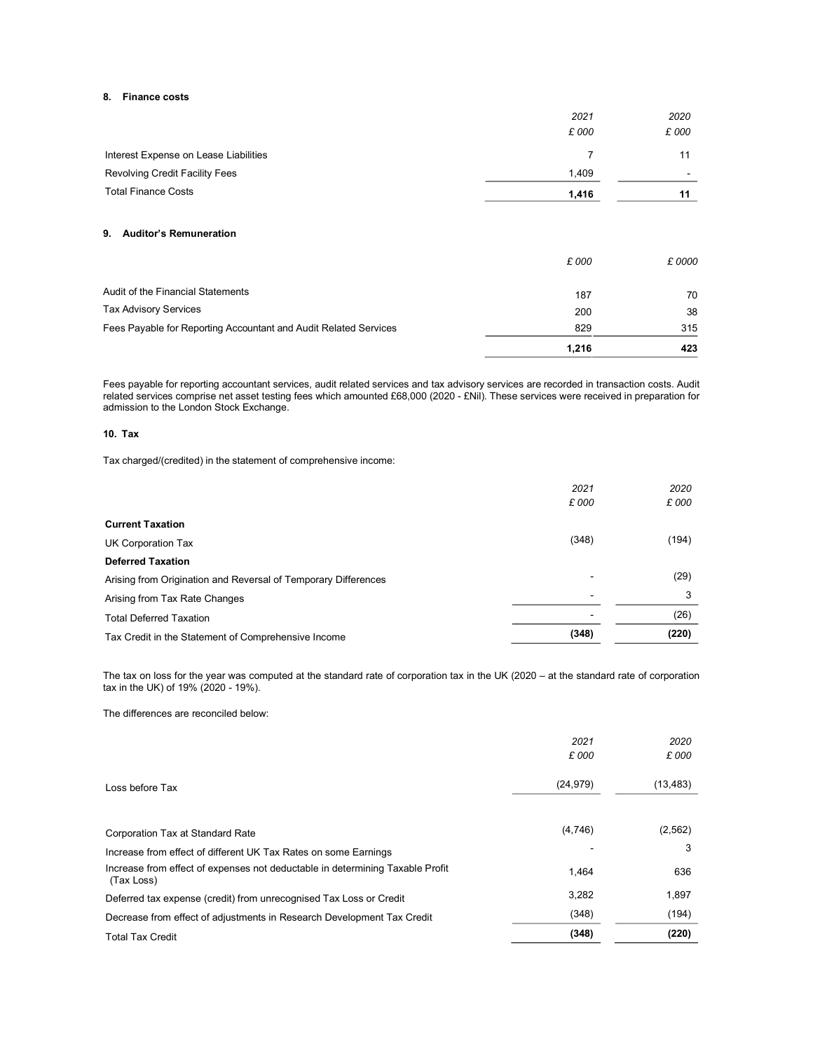# 8. Finance costs

|                                       | 2021  | 2020                     |
|---------------------------------------|-------|--------------------------|
|                                       | £ 000 | £ 000                    |
| Interest Expense on Lease Liabilities |       | 11                       |
| <b>Revolving Credit Facility Fees</b> | 1,409 | $\overline{\phantom{a}}$ |
| <b>Total Finance Costs</b>            | 1,416 | 11                       |
|                                       |       |                          |

# 9. Auditor's Remuneration

|                                                                  | £ 000 | £ 0000 |
|------------------------------------------------------------------|-------|--------|
| Audit of the Financial Statements                                | 187   | 70     |
| <b>Tax Advisory Services</b>                                     | 200   | 38     |
| Fees Payable for Reporting Accountant and Audit Related Services | 829   | 315    |
|                                                                  | 1.216 | 423    |

Fees payable for reporting accountant services, audit related services and tax advisory services are recorded in transaction costs. Audit related services comprise net asset testing fees which amounted £68,000 (2020 - £Nil). These services were received in preparation for admission to the London Stock Exchange.

# 10. Tax

Tax charged/(credited) in the statement of comprehensive income:

|                                                                | 2021  | 2020  |
|----------------------------------------------------------------|-------|-------|
|                                                                | £ 000 | £ 000 |
| <b>Current Taxation</b>                                        |       |       |
| UK Corporation Tax                                             | (348) | (194) |
| <b>Deferred Taxation</b>                                       |       |       |
| Arising from Origination and Reversal of Temporary Differences |       | (29)  |
| Arising from Tax Rate Changes                                  |       | 3     |
| <b>Total Deferred Taxation</b>                                 |       | (26)  |
| Tax Credit in the Statement of Comprehensive Income            | (348) | (220) |

The tax on loss for the year was computed at the standard rate of corporation tax in the UK (2020 – at the standard rate of corporation tax in the UK) of 19% (2020 - 19%).

The differences are reconciled below:

|                                                                                             | 2021<br>£ 000 | 2020<br>£ 000 |
|---------------------------------------------------------------------------------------------|---------------|---------------|
| Loss before Tax                                                                             | (24, 979)     | (13, 483)     |
| Corporation Tax at Standard Rate                                                            | (4,746)       | (2, 562)      |
| Increase from effect of different UK Tax Rates on some Earnings                             |               | 3             |
| Increase from effect of expenses not deductable in determining Taxable Profit<br>(Tax Loss) | 1.464         | 636           |
| Deferred tax expense (credit) from unrecognised Tax Loss or Credit                          | 3,282         | 1,897         |
| Decrease from effect of adjustments in Research Development Tax Credit                      | (348)         | (194)         |
| <b>Total Tax Credit</b>                                                                     | (348)         | (220)         |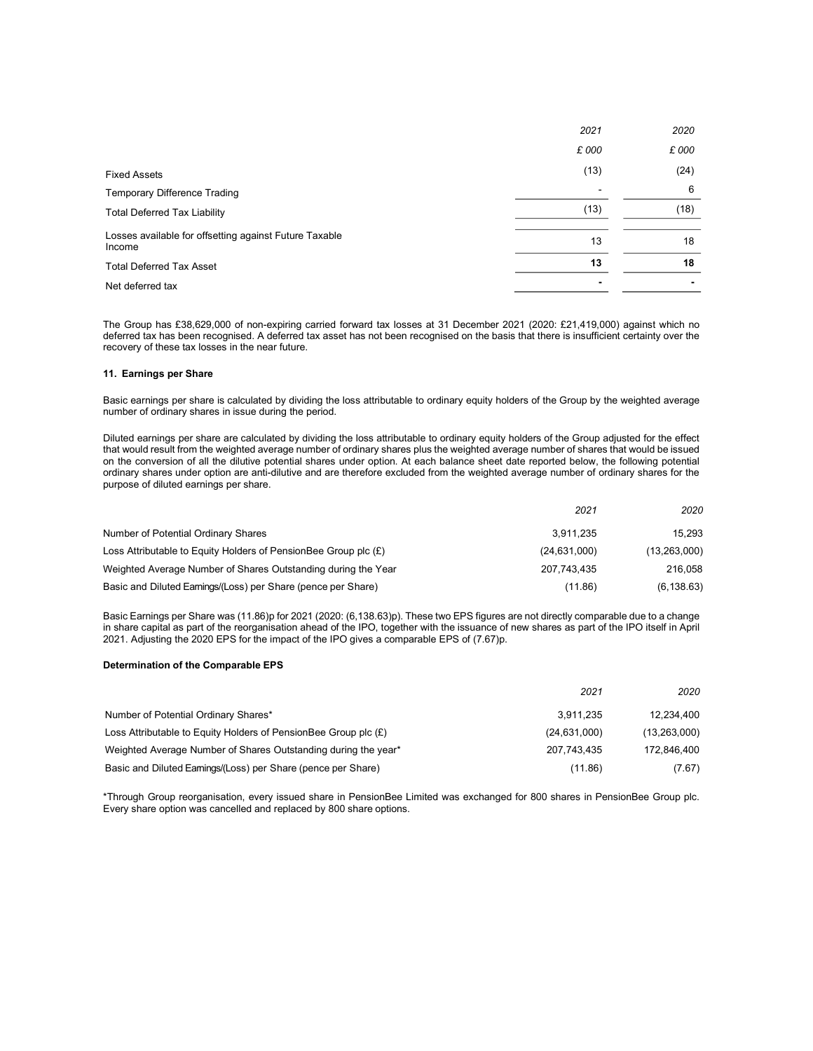|                                                                  | 2021  | 2020  |
|------------------------------------------------------------------|-------|-------|
|                                                                  | £ 000 | £ 000 |
| <b>Fixed Assets</b>                                              | (13)  | (24)  |
| Temporary Difference Trading                                     |       | 6     |
| <b>Total Deferred Tax Liability</b>                              | (13)  | (18)  |
| Losses available for offsetting against Future Taxable<br>Income | 13    | 18    |
| <b>Total Deferred Tax Asset</b>                                  | 13    | 18    |
| Net deferred tax                                                 |       |       |

The Group has £38,629,000 of non-expiring carried forward tax losses at 31 December 2021 (2020: £21,419,000) against which no deferred tax has been recognised. A deferred tax asset has not been recognised on the basis that there is insufficient certainty over the recovery of these tax losses in the near future.

## 11. Earnings per Share

Basic earnings per share is calculated by dividing the loss attributable to ordinary equity holders of the Group by the weighted average number of ordinary shares in issue during the period.

Diluted earnings per share are calculated by dividing the loss attributable to ordinary equity holders of the Group adjusted for the effect that would result from the weighted average number of ordinary shares plus the weighted average number of shares that would be issued on the conversion of all the dilutive potential shares under option. At each balance sheet date reported below, the following potential ordinary shares under option are anti-dilutive and are therefore excluded from the weighted average number of ordinary shares for the purpose of diluted earnings per share.

|                                                                    | 2021           | 2020         |
|--------------------------------------------------------------------|----------------|--------------|
| Number of Potential Ordinary Shares                                | 3.911.235      | 15.293       |
| Loss Attributable to Equity Holders of Pension Bee Group plc $(E)$ | (24, 631, 000) | (13,263,000) |
| Weighted Average Number of Shares Outstanding during the Year      | 207.743.435    | 216.058      |
| Basic and Diluted Earnings/(Loss) per Share (pence per Share)      | (11.86)        | (6, 138.63)  |

Basic Earnings per Share was (11.86)p for 2021 (2020: (6,138.63)p). These two EPS figures are not directly comparable due to a change in share capital as part of the reorganisation ahead of the IPO, together with the issuance of new shares as part of the IPO itself in April 2021. Adjusting the 2020 EPS for the impact of the IPO gives a comparable EPS of (7.67)p.

## Determination of the Comparable EPS

|                                                                    | 2021           | 2020         |
|--------------------------------------------------------------------|----------------|--------------|
| Number of Potential Ordinary Shares*                               | 3.911.235      | 12,234,400   |
| Loss Attributable to Equity Holders of Pension Bee Group plc $(E)$ | (24, 631, 000) | (13,263,000) |
| Weighted Average Number of Shares Outstanding during the year*     | 207.743.435    | 172.846.400  |
| Basic and Diluted Eamings/(Loss) per Share (pence per Share)       | (11.86)        | (7.67)       |

\*Through Group reorganisation, every issued share in PensionBee Limited was exchanged for 800 shares in PensionBee Group plc. Every share option was cancelled and replaced by 800 share options.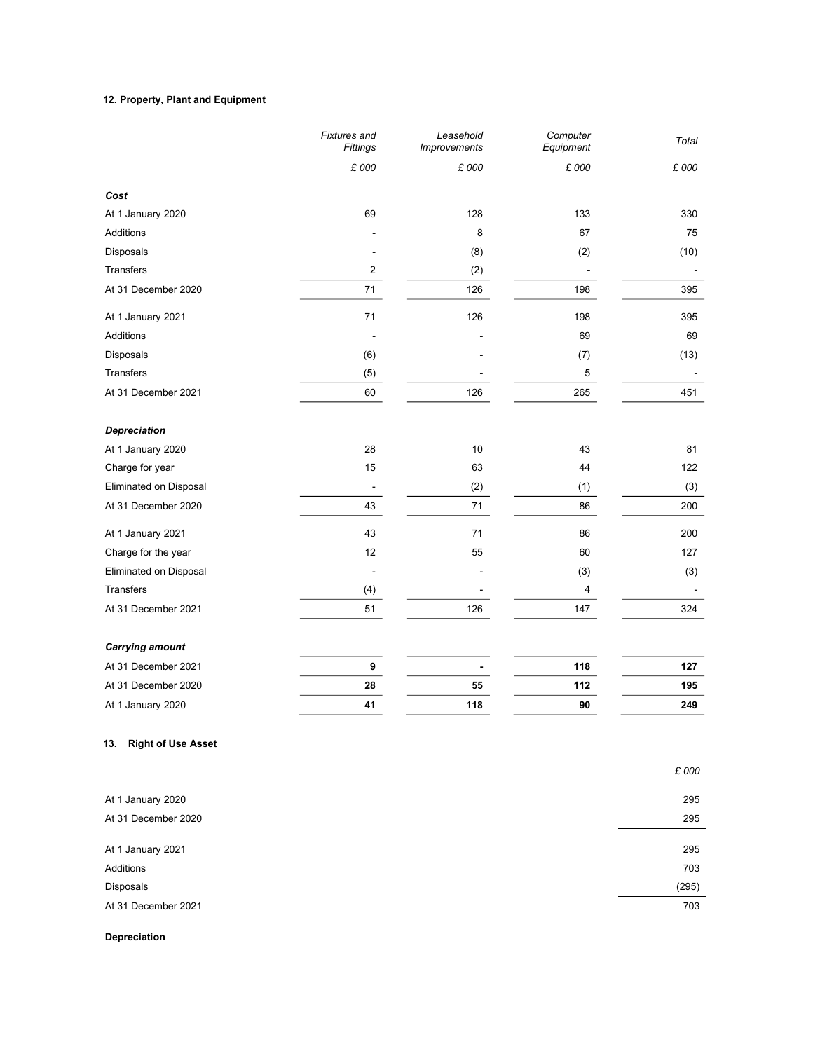# 12. Property, Plant and Equipment

|                        | Fixtures and<br>Fittings | Leasehold<br><b>Improvements</b> | Computer<br>Equipment | Total |
|------------------------|--------------------------|----------------------------------|-----------------------|-------|
|                        | £ 000                    | £ 000                            | £ 000                 | £ 000 |
| Cost                   |                          |                                  |                       |       |
| At 1 January 2020      | 69                       | 128                              | 133                   | 330   |
| Additions              |                          | 8                                | 67                    | 75    |
| Disposals              |                          | (8)                              | (2)                   | (10)  |
| <b>Transfers</b>       | $\overline{c}$           | (2)                              | $\overline{a}$        |       |
| At 31 December 2020    | 71                       | 126                              | 198                   | 395   |
| At 1 January 2021      | 71                       | 126                              | 198                   | 395   |
| Additions              |                          |                                  | 69                    | 69    |
| Disposals              | (6)                      |                                  | (7)                   | (13)  |
| Transfers              | (5)                      |                                  | 5                     |       |
| At 31 December 2021    | 60                       | 126                              | 265                   | 451   |
| <b>Depreciation</b>    |                          |                                  |                       |       |
| At 1 January 2020      | 28                       | 10                               | 43                    | 81    |
| Charge for year        | 15                       | 63                               | 44                    | 122   |
| Eliminated on Disposal | $\blacksquare$           | (2)                              | (1)                   | (3)   |
| At 31 December 2020    | 43                       | $71$                             | 86                    | 200   |
| At 1 January 2021      | 43                       | 71                               | 86                    | 200   |
| Charge for the year    | 12                       | 55                               | 60                    | 127   |
| Eliminated on Disposal |                          |                                  | (3)                   | (3)   |
| <b>Transfers</b>       | (4)                      |                                  | 4                     |       |
| At 31 December 2021    | 51                       | 126                              | 147                   | 324   |
| <b>Carrying amount</b> |                          |                                  |                       |       |
| At 31 December 2021    | 9                        |                                  | 118                   | 127   |
| At 31 December 2020    | 28                       | 55                               | 112                   | 195   |
| At 1 January 2020      | 41                       | 118                              | 90                    | 249   |

# 13. Right of Use Asset

|                     | £ 000 |
|---------------------|-------|
| At 1 January 2020   | 295   |
| At 31 December 2020 | 295   |
| At 1 January 2021   | 295   |
| Additions           | 703   |
| Disposals           | (295) |
| At 31 December 2021 | 703   |
|                     |       |

Depreciation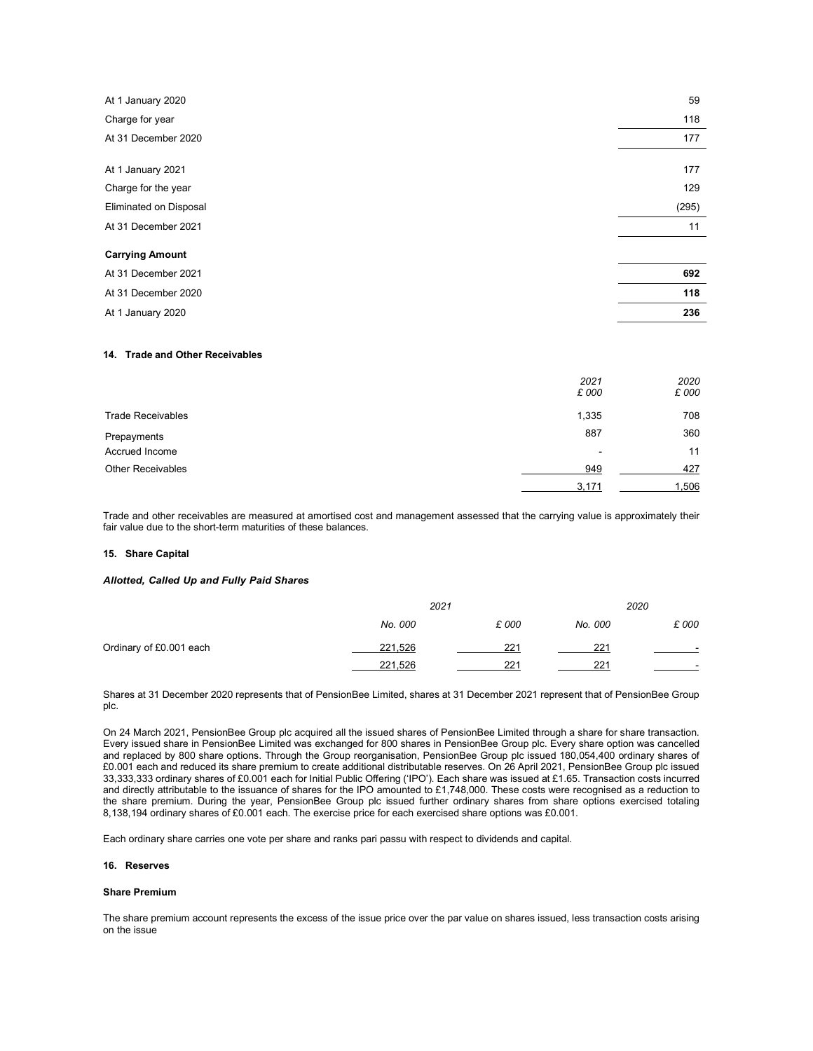| At 1 January 2020      | 59    |
|------------------------|-------|
| Charge for year        | 118   |
| At 31 December 2020    | 177   |
|                        |       |
| At 1 January 2021      | 177   |
| Charge for the year    | 129   |
| Eliminated on Disposal | (295) |
| At 31 December 2021    | 11    |
| <b>Carrying Amount</b> |       |
| At 31 December 2021    | 692   |
| At 31 December 2020    | 118   |
| At 1 January 2020      | 236   |

# 14. Trade and Other Receivables

|                          | 2021<br>£000             | 2020<br>£ 000 |
|--------------------------|--------------------------|---------------|
| <b>Trade Receivables</b> | 1,335                    | 708           |
| Prepayments              | 887                      | 360           |
| Accrued Income           | $\overline{\phantom{a}}$ | 11            |
| <b>Other Receivables</b> | 949                      | 427           |
|                          | 3,171                    | .506          |

Trade and other receivables are measured at amortised cost and management assessed that the carrying value is approximately their fair value due to the short-term maturities of these balances.

# 15. Share Capital

## Allotted, Called Up and Fully Paid Shares

|                         | 2021    |       | 2020    |                          |
|-------------------------|---------|-------|---------|--------------------------|
|                         | No. 000 | £ 000 | No. 000 | £ 000                    |
| Ordinary of £0.001 each | 221,526 | 221   | 221     | $\overline{\phantom{0}}$ |
|                         | 221,526 | 221   | 221     | $\overline{\phantom{0}}$ |

Shares at 31 December 2020 represents that of PensionBee Limited, shares at 31 December 2021 represent that of PensionBee Group plc.

On 24 March 2021, PensionBee Group plc acquired all the issued shares of PensionBee Limited through a share for share transaction. Every issued share in PensionBee Limited was exchanged for 800 shares in PensionBee Group plc. Every share option was cancelled and replaced by 800 share options. Through the Group reorganisation, PensionBee Group plc issued 180,054,400 ordinary shares of £0.001 each and reduced its share premium to create additional distributable reserves. On 26 April 2021, PensionBee Group plc issued 33,333,333 ordinary shares of £0.001 each for Initial Public Offering ('IPO'). Each share was issued at £1.65. Transaction costs incurred and directly attributable to the issuance of shares for the IPO amounted to £1,748,000. These costs were recognised as a reduction to the share premium. During the year, PensionBee Group plc issued further ordinary shares from share options exercised totaling 8,138,194 ordinary shares of £0.001 each. The exercise price for each exercised share options was £0.001.

Each ordinary share carries one vote per share and ranks pari passu with respect to dividends and capital.

## 16. Reserves

## Share Premium

The share premium account represents the excess of the issue price over the par value on shares issued, less transaction costs arising on the issue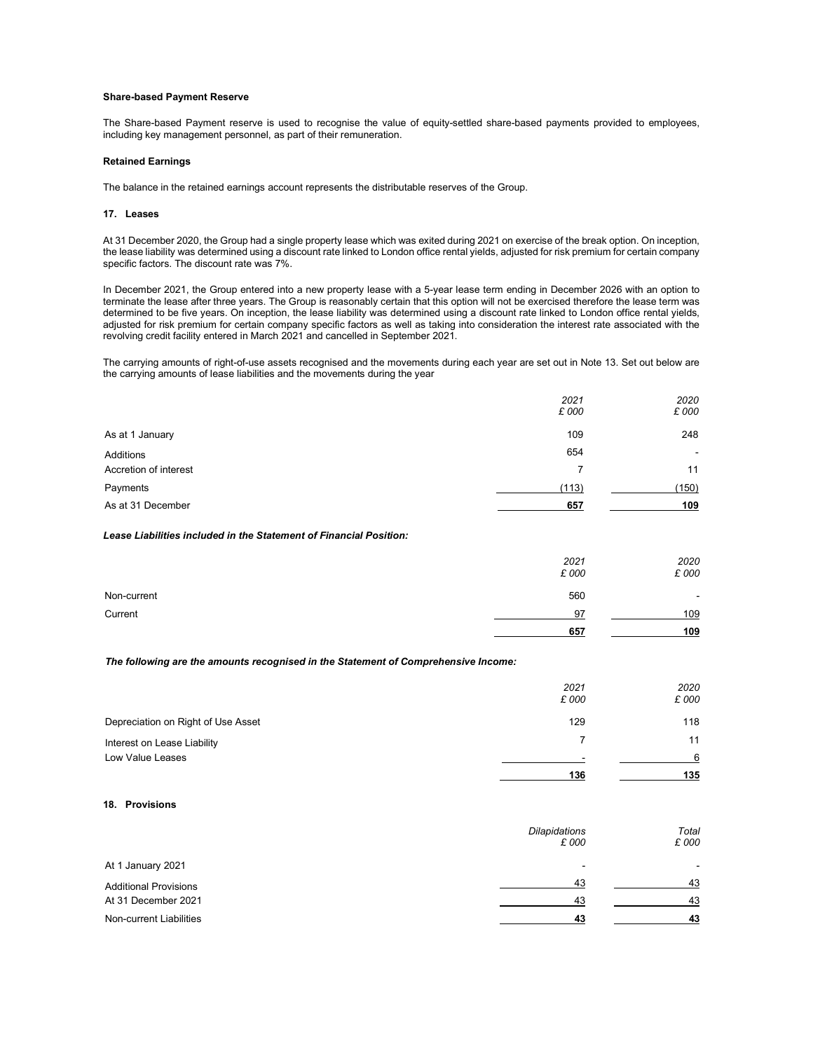## Share-based Payment Reserve

The Share-based Payment reserve is used to recognise the value of equity-settled share-based payments provided to employees, including key management personnel, as part of their remuneration.

## Retained Earnings

The balance in the retained earnings account represents the distributable reserves of the Group.

## 17. Leases

At 31 December 2020, the Group had a single property lease which was exited during 2021 on exercise of the break option. On inception, the lease liability was determined using a discount rate linked to London office rental yields, adjusted for risk premium for certain company specific factors. The discount rate was 7%.

In December 2021, the Group entered into a new property lease with a 5-year lease term ending in December 2026 with an option to terminate the lease after three years. The Group is reasonably certain that this option will not be exercised therefore the lease term was determined to be five years. On inception, the lease liability was determined using a discount rate linked to London office rental yields, adjusted for risk premium for certain company specific factors as well as taking into consideration the interest rate associated with the revolving credit facility entered in March 2021 and cancelled in September 2021.

The carrying amounts of right-of-use assets recognised and the movements during each year are set out in Note 13. Set out below are the carrying amounts of lease liabilities and the movements during the year

|                       | 2021  | 2020  |
|-----------------------|-------|-------|
|                       | £ 000 | £ 000 |
| As at 1 January       | 109   | 248   |
| Additions             | 654   | ۰     |
| Accretion of interest |       | 11    |
| Payments              | (113) | (150) |
| As at 31 December     | 657   | 109   |

## Lease Liabilities included in the Statement of Financial Position:

|             | 2021<br>£ 000 | 2020<br>£ 000 |
|-------------|---------------|---------------|
| Non-current | 560           | $\sim$        |
| Current     | 97            | 109           |
|             | 657           | 109           |

## The following are the amounts recognised in the Statement of Comprehensive Income:

|                                    | 2021<br>£ 000 | 2020<br>£ 000 |
|------------------------------------|---------------|---------------|
| Depreciation on Right of Use Asset | 129           | 118           |
| Interest on Lease Liability        |               | 11            |
| Low Value Leases                   |               | а             |
|                                    | 136           | 135           |

## 18. Provisions

|                              | <b>Dilapidations</b><br>£ 000 | Total<br>£ 000 |
|------------------------------|-------------------------------|----------------|
| At 1 January 2021            |                               |                |
| <b>Additional Provisions</b> | 43                            | 43             |
| At 31 December 2021          | 43                            | 43             |
| Non-current Liabilities      | 43                            | 43             |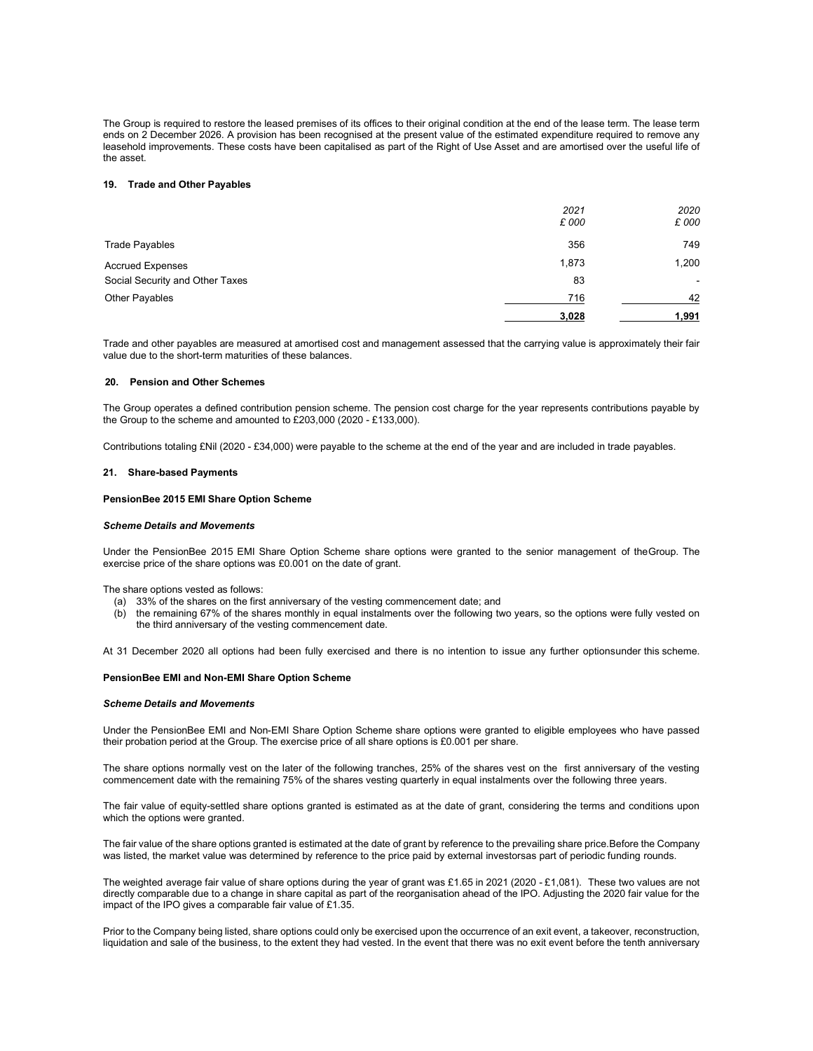The Group is required to restore the leased premises of its offices to their original condition at the end of the lease term. The lease term ends on 2 December 2026. A provision has been recognised at the present value of the estimated expenditure required to remove any leasehold improvements. These costs have been capitalised as part of the Right of Use Asset and are amortised over the useful life of the asset.

#### 19. Trade and Other Payables

|                                 | 2021<br>£ 000 | 2020<br>£ 000            |
|---------------------------------|---------------|--------------------------|
| <b>Trade Payables</b>           | 356           | 749                      |
| <b>Accrued Expenses</b>         | 1,873         | 1,200                    |
| Social Security and Other Taxes | 83            | $\overline{\phantom{a}}$ |
| Other Payables                  | 716           | 42                       |
|                                 | 3,028         | 1,991                    |

Trade and other payables are measured at amortised cost and management assessed that the carrying value is approximately their fair value due to the short-term maturities of these balances.

## 20. Pension and Other Schemes

The Group operates a defined contribution pension scheme. The pension cost charge for the year represents contributions payable by the Group to the scheme and amounted to £203,000 (2020 - £133,000).

Contributions totaling £Nil (2020 - £34,000) were payable to the scheme at the end of the year and are included in trade payables.

### 21. Share-based Payments

## PensionBee 2015 EMI Share Option Scheme

### Scheme Details and Movements

Under the PensionBee 2015 EMI Share Option Scheme share options were granted to the senior management of the Group. The exercise price of the share options was £0.001 on the date of grant.

The share options vested as follows:

- (a) 33% of the shares on the first anniversary of the vesting commencement date; and
- (b) the remaining 67% of the shares monthly in equal instalments over the following two years, so the options were fully vested on the third anniversary of the vesting commencement date.

At 31 December 2020 all options had been fully exercised and there is no intention to issue any further optionsunder this scheme.

## PensionBee EMI and Non-EMI Share Option Scheme

### Scheme Details and Movements

Under the PensionBee EMI and Non-EMI Share Option Scheme share options were granted to eligible employees who have passed their probation period at the Group. The exercise price of all share options is £0.001 per share.

The share options normally vest on the later of the following tranches, 25% of the shares vest on the first anniversary of the vesting commencement date with the remaining 75% of the shares vesting quarterly in equal instalments over the following three years.

The fair value of equity-settled share options granted is estimated as at the date of grant, considering the terms and conditions upon which the options were granted.

The fair value of the share options granted is estimated at the date of grant by reference to the prevailing share price. Before the Company was listed, the market value was determined by reference to the price paid by external investorsas part of periodic funding rounds.

The weighted average fair value of share options during the year of grant was £1.65 in 2021 (2020 - £1,081). These two values are not directly comparable due to a change in share capital as part of the reorganisation ahead of the IPO. Adjusting the 2020 fair value for the impact of the IPO gives a comparable fair value of £1.35.

Prior to the Company being listed, share options could only be exercised upon the occurrence of an exit event, a takeover, reconstruction, liquidation and sale of the business, to the extent they had vested. In the event that there was no exit event before the tenth anniversary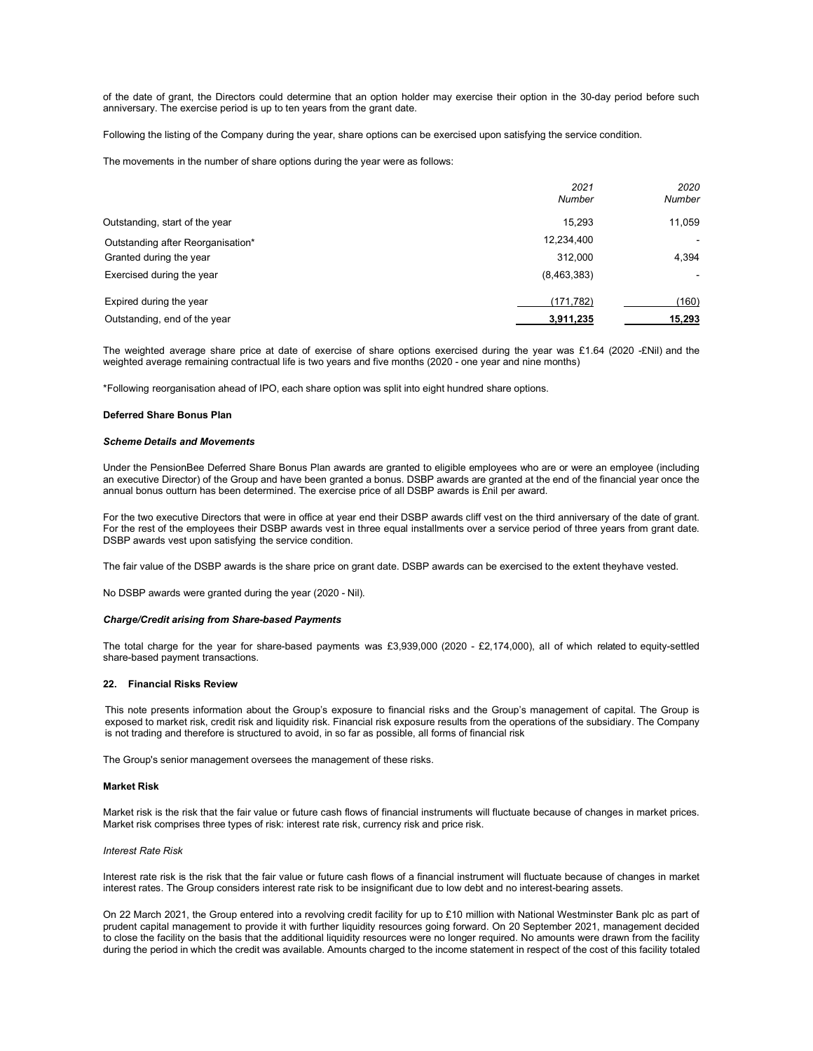of the date of grant, the Directors could determine that an option holder may exercise their option in the 30-day period before such anniversary. The exercise period is up to ten years from the grant date.

Following the listing of the Company during the year, share options can be exercised upon satisfying the service condition.

The movements in the number of share options during the year were as follows:

|                                   | 2021<br>Number | 2020<br>Number           |
|-----------------------------------|----------------|--------------------------|
| Outstanding, start of the year    | 15,293         | 11,059                   |
| Outstanding after Reorganisation* | 12,234,400     | $\overline{\phantom{a}}$ |
| Granted during the year           | 312.000        | 4,394                    |
| Exercised during the year         | (8,463,383)    |                          |
| Expired during the year           | (171, 782)     | (160)                    |
| Outstanding, end of the year      | 3,911,235      | 15,293                   |

The weighted average share price at date of exercise of share options exercised during the year was £1.64 (2020 -£Nil) and the weighted average remaining contractual life is two years and five months (2020 - one year and nine months)

\*Following reorganisation ahead of IPO, each share option was split into eight hundred share options.

### Deferred Share Bonus Plan

### Scheme Details and Movements

Under the PensionBee Deferred Share Bonus Plan awards are granted to eligible employees who are or were an employee (including an executive Director) of the Group and have been granted a bonus. DSBP awards are granted at the end of the financial year once the annual bonus outturn has been determined. The exercise price of all DSBP awards is £nil per award.

For the two executive Directors that were in office at year end their DSBP awards cliff vest on the third anniversary of the date of grant. For the rest of the employees their DSBP awards vest in three equal installments over a service period of three years from grant date. DSBP awards vest upon satisfying the service condition.

The fair value of the DSBP awards is the share price on grant date. DSBP awards can be exercised to the extent theyhave vested.

No DSBP awards were granted during the year (2020 - Nil).

## Charge/Credit arising from Share-based Payments

The total charge for the year for share-based payments was £3,939,000 (2020 - £2,174,000), all of which related to equity-settled share-based payment transactions.

## 22. Financial Risks Review

This note presents information about the Group's exposure to financial risks and the Group's management of capital. The Group is exposed to market risk, credit risk and liquidity risk. Financial risk exposure results from the operations of the subsidiary. The Company is not trading and therefore is structured to avoid, in so far as possible, all forms of financial risk

The Group's senior management oversees the management of these risks.

#### Market Risk

Market risk is the risk that the fair value or future cash flows of financial instruments will fluctuate because of changes in market prices. Market risk comprises three types of risk: interest rate risk, currency risk and price risk.

## Interest Rate Risk

Interest rate risk is the risk that the fair value or future cash flows of a financial instrument will fluctuate because of changes in market interest rates. The Group considers interest rate risk to be insignificant due to low debt and no interest-bearing assets.

On 22 March 2021, the Group entered into a revolving credit facility for up to £10 million with National Westminster Bank plc as part of prudent capital management to provide it with further liquidity resources going forward. On 20 September 2021, management decided to close the facility on the basis that the additional liquidity resources were no longer required. No amounts were drawn from the facility during the period in which the credit was available. Amounts charged to the income statement in respect of the cost of this facility totaled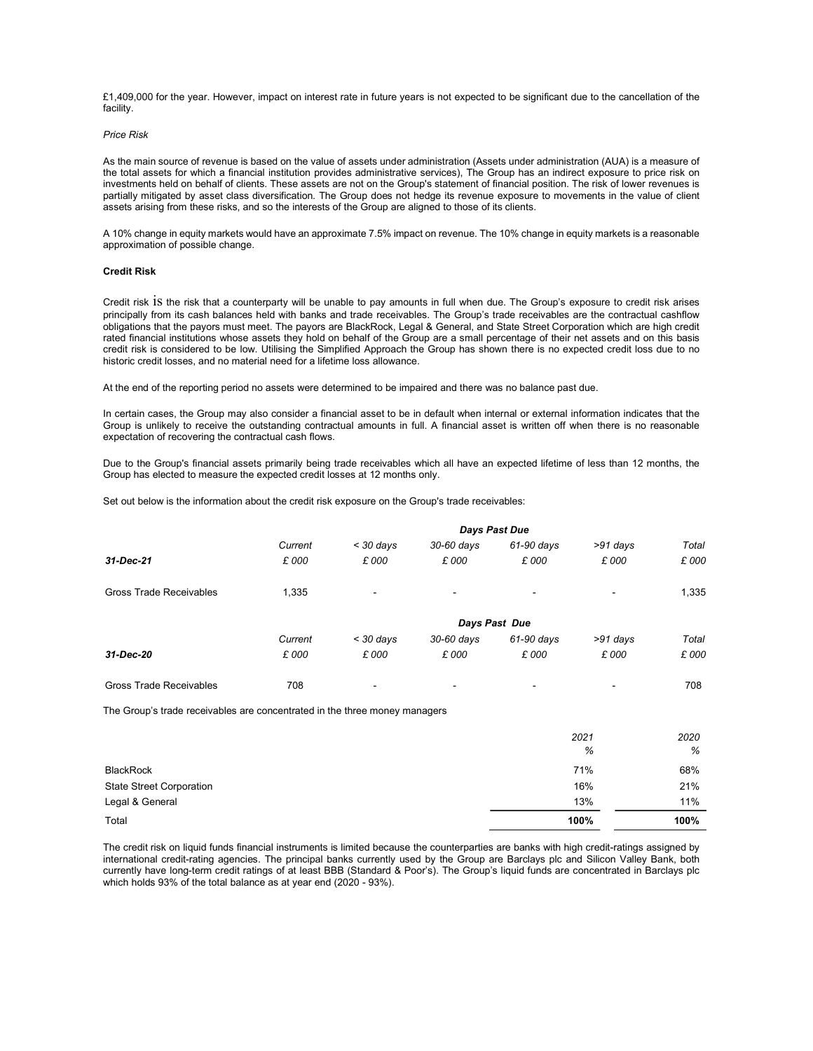£1,409,000 for the year. However, impact on interest rate in future years is not expected to be significant due to the cancellation of the facility.

## Price Risk

As the main source of revenue is based on the value of assets under administration (Assets under administration (AUA) is a measure of the total assets for which a financial institution provides administrative services), The Group has an indirect exposure to price risk on investments held on behalf of clients. These assets are not on the Group's statement of financial position. The risk of lower revenues is partially mitigated by asset class diversification. The Group does not hedge its revenue exposure to movements in the value of client assets arising from these risks, and so the interests of the Group are aligned to those of its clients.

A 10% change in equity markets would have an approximate 7.5% impact on revenue. The 10% change in equity markets is a reasonable approximation of possible change.

# Credit Risk

Credit risk is the risk that a counterparty will be unable to pay amounts in full when due. The Group's exposure to credit risk arises principally from its cash balances held with banks and trade receivables. The Group's trade receivables are the contractual cashflow obligations that the payors must meet. The payors are BlackRock, Legal & General, and State Street Corporation which are high credit rated financial institutions whose assets they hold on behalf of the Group are a small percentage of their net assets and on this basis credit risk is considered to be low. Utilising the Simplified Approach the Group has shown there is no expected credit loss due to no historic credit losses, and no material need for a lifetime loss allowance.

At the end of the reporting period no assets were determined to be impaired and there was no balance past due.

In certain cases, the Group may also consider a financial asset to be in default when internal or external information indicates that the Group is unlikely to receive the outstanding contractual amounts in full. A financial asset is written off when there is no reasonable expectation of recovering the contractual cash flows.

Due to the Group's financial assets primarily being trade receivables which all have an expected lifetime of less than 12 months, the Group has elected to measure the expected credit losses at 12 months only.

Set out below is the information about the credit risk exposure on the Group's trade receivables:

|                                                                            |         |                |            | Days Past Due |          |        |
|----------------------------------------------------------------------------|---------|----------------|------------|---------------|----------|--------|
|                                                                            | Current | $<$ 30 days    | 30-60 days | $61-90$ days  | >91 days | Total  |
| 31-Dec-21                                                                  | £ 000   | £000           | £000       | £000          | £000     | £ 000  |
| <b>Gross Trade Receivables</b>                                             | 1,335   | $\blacksquare$ |            |               |          | 1,335  |
|                                                                            |         |                |            | Days Past Due |          |        |
|                                                                            | Current | $<$ 30 days    | 30-60 days | 61-90 days    | >91 days | Total  |
| 31-Dec-20                                                                  | £ 000   | £ 000          | £000       | £000          | £ 000    | £ 000  |
| <b>Gross Trade Receivables</b>                                             | 708     |                |            |               |          | 708    |
| The Group's trade receivables are concentrated in the three money managers |         |                |            |               |          |        |
|                                                                            |         |                |            |               | 2021     | 2020   |
|                                                                            |         |                |            |               | $\sim$   | $\sim$ |

|                                 | %    | %    |
|---------------------------------|------|------|
| <b>BlackRock</b>                | 71%  | 68%  |
| <b>State Street Corporation</b> | 16%  | 21%  |
| Legal & General                 | 13%  | 11%  |
| Total                           | 100% | 100% |

The credit risk on liquid funds financial instruments is limited because the counterparties are banks with high credit-ratings assigned by international credit-rating agencies. The principal banks currently used by the Group are Barclays plc and Silicon Valley Bank, both currently have long-term credit ratings of at least BBB (Standard & Poor's). The Group's liquid funds are concentrated in Barclays plc which holds 93% of the total balance as at year end (2020 - 93%).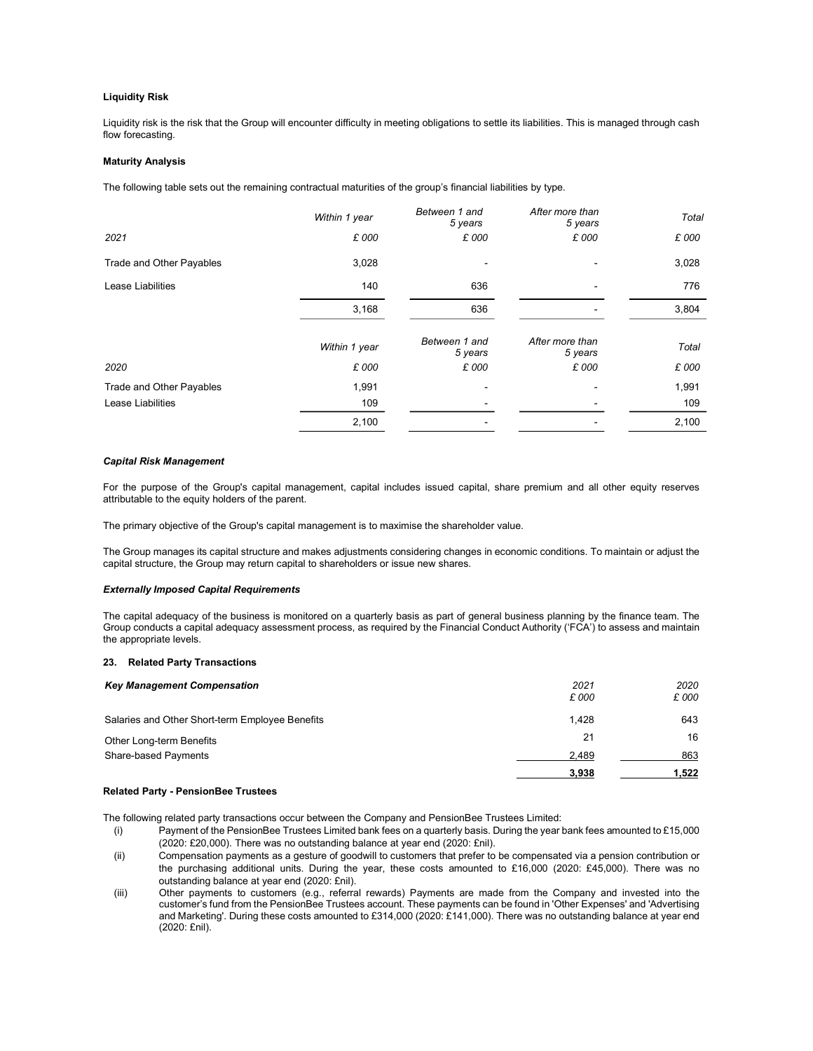## Liquidity Risk

Liquidity risk is the risk that the Group will encounter difficulty in meeting obligations to settle its liabilities. This is managed through cash flow forecasting.

## Maturity Analysis

The following table sets out the remaining contractual maturities of the group's financial liabilities by type.

|                          | Within 1 year | Between 1 and<br>5 years | After more than<br>5 years | Total |
|--------------------------|---------------|--------------------------|----------------------------|-------|
| 2021                     | £ 000         | £ 000                    | £ 000                      | £ 000 |
| Trade and Other Payables | 3,028         |                          |                            | 3,028 |
| Lease Liabilities        | 140           | 636                      |                            | 776   |
|                          | 3,168         | 636                      |                            | 3,804 |
|                          | Within 1 year | Between 1 and<br>5 years | After more than<br>5 years | Total |
| 2020                     | £ 000         | £ 000                    | £ 000                      | £ 000 |
| Trade and Other Payables | 1,991         |                          |                            | 1,991 |
| Lease Liabilities        | 109           |                          |                            | 109   |
|                          | 2,100         |                          |                            | 2,100 |

#### Capital Risk Management

For the purpose of the Group's capital management, capital includes issued capital, share premium and all other equity reserves attributable to the equity holders of the parent.

The primary objective of the Group's capital management is to maximise the shareholder value.

The Group manages its capital structure and makes adjustments considering changes in economic conditions. To maintain or adjust the capital structure, the Group may return capital to shareholders or issue new shares.

### Externally Imposed Capital Requirements

The capital adequacy of the business is monitored on a quarterly basis as part of general business planning by the finance team. The Group conducts a capital adequacy assessment process, as required by the Financial Conduct Authority ('FCA') to assess and maintain the appropriate levels.

## 23. Related Party Transactions

| <b>Key Management Compensation</b>              | 2021<br>£ 000 | 2020<br>£ 000 |
|-------------------------------------------------|---------------|---------------|
| Salaries and Other Short-term Employee Benefits | 1.428         | 643           |
| Other Long-term Benefits                        | 21            | 16            |
| Share-based Payments                            | 2.489         | 863           |
|                                                 | 3,938         | 1.522         |

#### Related Party - PensionBee Trustees

The following related party transactions occur between the Company and PensionBee Trustees Limited:

- (i) Payment of the PensionBee Trustees Limited bank fees on a quarterly basis. During the year bank fees amounted to £15,000 (2020: £20,000). There was no outstanding balance at year end (2020: £nil).
- (ii) Compensation payments as a gesture of goodwill to customers that prefer to be compensated via a pension contribution or the purchasing additional units. During the year, these costs amounted to £16,000 (2020: £45,000). There was no outstanding balance at year end (2020: £nil).
- (iii) Other payments to customers (e.g., referral rewards) Payments are made from the Company and invested into the customer's fund from the PensionBee Trustees account. These payments can be found in 'Other Expenses' and 'Advertising and Marketing'. During these costs amounted to £314,000 (2020: £141,000). There was no outstanding balance at year end (2020: £nil).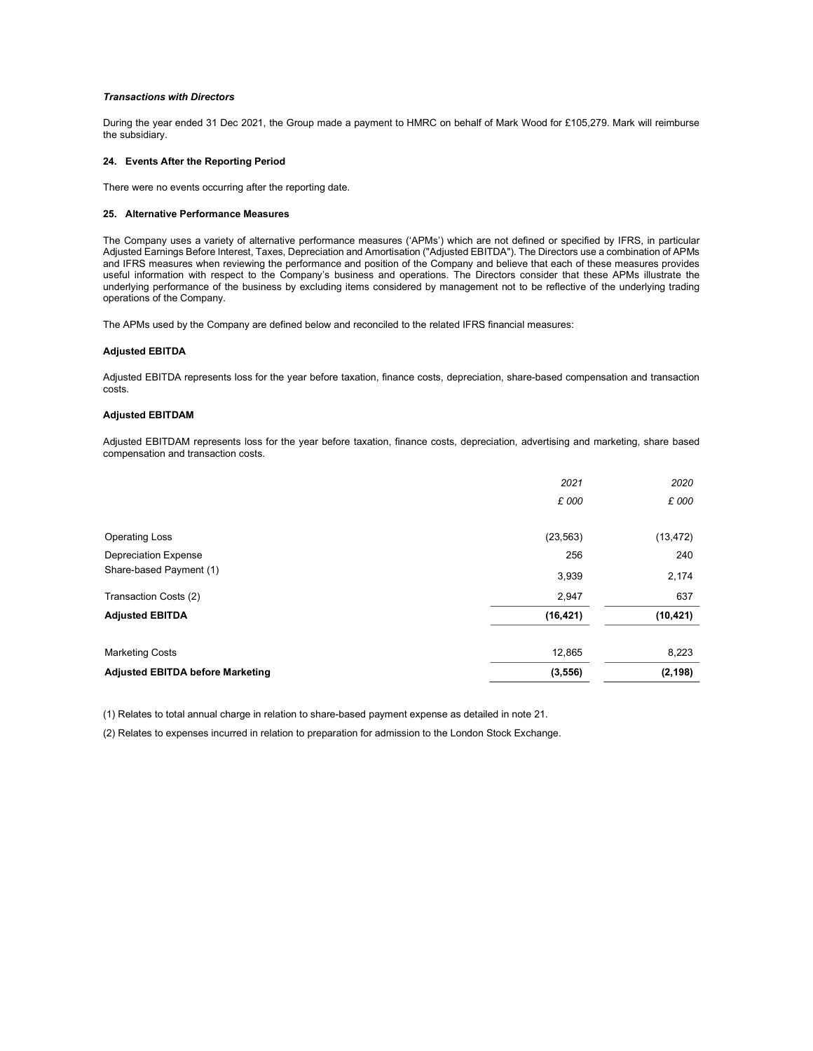## Transactions with Directors

During the year ended 31 Dec 2021, the Group made a payment to HMRC on behalf of Mark Wood for £105,279. Mark will reimburse the subsidiary.

## 24. Events After the Reporting Period

There were no events occurring after the reporting date.

## 25. Alternative Performance Measures

The Company uses a variety of alternative performance measures ('APMs') which are not defined or specified by IFRS, in particular Adjusted Earnings Before Interest, Taxes, Depreciation and Amortisation ("Adjusted EBITDA"). The Directors use a combination of APMs and IFRS measures when reviewing the performance and position of the Company and believe that each of these measures provides useful information with respect to the Company's business and operations. The Directors consider that these APMs illustrate the underlying performance of the business by excluding items considered by management not to be reflective of the underlying trading operations of the Company.

The APMs used by the Company are defined below and reconciled to the related IFRS financial measures:

## Adjusted EBITDA

Adjusted EBITDA represents loss for the year before taxation, finance costs, depreciation, share-based compensation and transaction costs.

# Adjusted EBITDAM

Adjusted EBITDAM represents loss for the year before taxation, finance costs, depreciation, advertising and marketing, share based compensation and transaction costs.

|                                         | 2021      | 2020      |
|-----------------------------------------|-----------|-----------|
|                                         | £ 000     | £ 000     |
|                                         |           |           |
| <b>Operating Loss</b>                   | (23, 563) | (13, 472) |
| <b>Depreciation Expense</b>             | 256       | 240       |
| Share-based Payment (1)                 | 3,939     | 2,174     |
| Transaction Costs (2)                   | 2,947     | 637       |
| <b>Adjusted EBITDA</b>                  | (16, 421) | (10, 421) |
|                                         |           |           |
| <b>Marketing Costs</b>                  | 12,865    | 8,223     |
| <b>Adjusted EBITDA before Marketing</b> | (3, 556)  | (2, 198)  |

(1) Relates to total annual charge in relation to share-based payment expense as detailed in note 21.

(2) Relates to expenses incurred in relation to preparation for admission to the London Stock Exchange.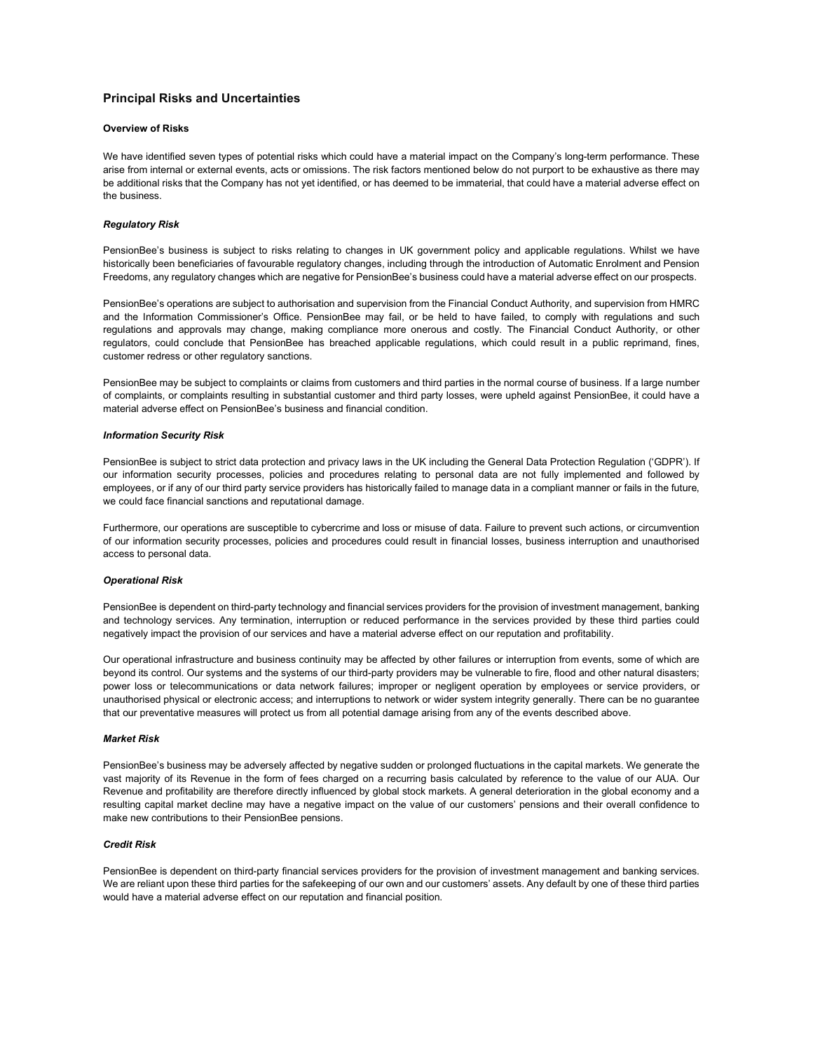# Principal Risks and Uncertainties

## Overview of Risks

We have identified seven types of potential risks which could have a material impact on the Company's long-term performance. These arise from internal or external events, acts or omissions. The risk factors mentioned below do not purport to be exhaustive as there may be additional risks that the Company has not yet identified, or has deemed to be immaterial, that could have a material adverse effect on the business.

## Regulatory Risk

PensionBee's business is subject to risks relating to changes in UK government policy and applicable regulations. Whilst we have historically been beneficiaries of favourable regulatory changes, including through the introduction of Automatic Enrolment and Pension Freedoms, any regulatory changes which are negative for PensionBee's business could have a material adverse effect on our prospects.

PensionBee's operations are subject to authorisation and supervision from the Financial Conduct Authority, and supervision from HMRC and the Information Commissioner's Office. PensionBee may fail, or be held to have failed, to comply with regulations and such regulations and approvals may change, making compliance more onerous and costly. The Financial Conduct Authority, or other regulators, could conclude that PensionBee has breached applicable regulations, which could result in a public reprimand, fines, customer redress or other regulatory sanctions.

PensionBee may be subject to complaints or claims from customers and third parties in the normal course of business. If a large number of complaints, or complaints resulting in substantial customer and third party losses, were upheld against PensionBee, it could have a material adverse effect on PensionBee's business and financial condition.

## Information Security Risk

PensionBee is subject to strict data protection and privacy laws in the UK including the General Data Protection Regulation ('GDPR'). If our information security processes, policies and procedures relating to personal data are not fully implemented and followed by employees, or if any of our third party service providers has historically failed to manage data in a compliant manner or fails in the future, we could face financial sanctions and reputational damage.

Furthermore, our operations are susceptible to cybercrime and loss or misuse of data. Failure to prevent such actions, or circumvention of our information security processes, policies and procedures could result in financial losses, business interruption and unauthorised access to personal data.

#### Operational Risk

PensionBee is dependent on third-party technology and financial services providers for the provision of investment management, banking and technology services. Any termination, interruption or reduced performance in the services provided by these third parties could negatively impact the provision of our services and have a material adverse effect on our reputation and profitability.

Our operational infrastructure and business continuity may be affected by other failures or interruption from events, some of which are beyond its control. Our systems and the systems of our third-party providers may be vulnerable to fire, flood and other natural disasters; power loss or telecommunications or data network failures; improper or negligent operation by employees or service providers, or unauthorised physical or electronic access; and interruptions to network or wider system integrity generally. There can be no guarantee that our preventative measures will protect us from all potential damage arising from any of the events described above.

## Market Risk

PensionBee's business may be adversely affected by negative sudden or prolonged fluctuations in the capital markets. We generate the vast majority of its Revenue in the form of fees charged on a recurring basis calculated by reference to the value of our AUA. Our Revenue and profitability are therefore directly influenced by global stock markets. A general deterioration in the global economy and a resulting capital market decline may have a negative impact on the value of our customers' pensions and their overall confidence to make new contributions to their PensionBee pensions.

## Credit Risk

PensionBee is dependent on third-party financial services providers for the provision of investment management and banking services. We are reliant upon these third parties for the safekeeping of our own and our customers' assets. Any default by one of these third parties would have a material adverse effect on our reputation and financial position.